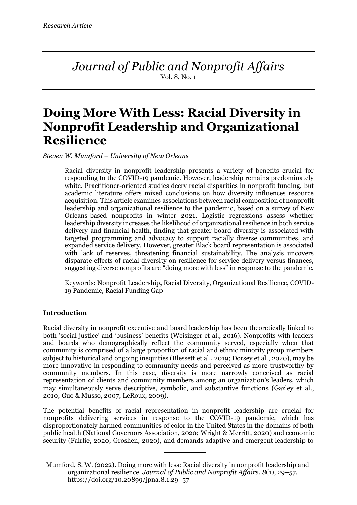*Journal of Public and Nonprofit Affairs* Vol. 8, No. 1

# **Doing More With Less: Racial Diversity in Nonprofit Leadership and Organizational Resilience**

*Steven W. Mumford* – *University of New Orleans*

Racial diversity in nonprofit leadership presents a variety of benefits crucial for responding to the COVID-19 pandemic. However, leadership remains predominately white. Practitioner-oriented studies decry racial disparities in nonprofit funding, but academic literature offers mixed conclusions on how diversity influences resource acquisition. This article examines associations between racial composition of nonprofit leadership and organizational resilience to the pandemic, based on a survey of New Orleans-based nonprofits in winter 2021. Logistic regressions assess whether leadership diversity increases the likelihood of organizational resilience in both service delivery and financial health, finding that greater board diversity is associated with targeted programming and advocacy to support racially diverse communities, and expanded service delivery. However, greater Black board representation is associated with lack of reserves, threatening financial sustainability. The analysis uncovers disparate effects of racial diversity on resilience for service delivery versus finances, suggesting diverse nonprofits are "doing more with less" in response to the pandemic.

Keywords: Nonprofit Leadership, Racial Diversity, Organizational Resilience, COVID-19 Pandemic, Racial Funding Gap

## **Introduction**

Racial diversity in nonprofit executive and board leadership has been theoretically linked to both 'social justice' and 'business' benefits (Weisinger et al., 2016). Nonprofits with leaders and boards who demographically reflect the community served, especially when that community is comprised of a large proportion of racial and ethnic minority group members subject to historical and ongoing inequities (Blessett et al., 2019; Dorsey et al., 2020), may be more innovative in responding to community needs and perceived as more trustworthy by community members. In this case, diversity is more narrowly conceived as racial representation of clients and community members among an organization's leaders, which may simultaneously serve descriptive, symbolic, and substantive functions (Gazley et al., 2010; Guo & Musso, 2007; LeRoux, 2009).

The potential benefits of racial representation in nonprofit leadership are crucial for nonprofits delivering services in response to the COVID-19 pandemic, which has disproportionately harmed communities of color in the United States in the domains of both public health (National Governors Association, 2020; Wright & Merritt, 2020) and economic security (Fairlie, 2020; Groshen, 2020), and demands adaptive and emergent leadership to

Mumford, S. W. (2022). Doing more with less: Racial diversity in nonprofit leadership and organizational resilience. *Journal of Public and Nonprofit Affairs*, *8*(1), 29–57. https://doi.org/10.20899/jpna.8.1.29–57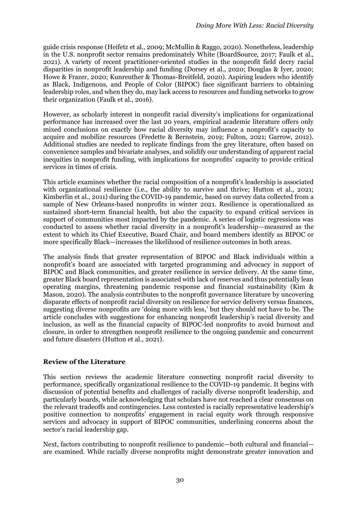guide crisis response (Heifetz et al., 2009; McMullin & Raggo, 2020). Nonetheless, leadership in the U.S. nonprofit sector remains predominately White (BoardSource, 2017; Faulk et al., 2021). A variety of recent practitioner-oriented studies in the nonprofit field decry racial disparities in nonprofit leadership and funding (Dorsey et al., 2020; Douglas & Iyer, 2020; Howe & Frazer, 2020; Kunreuther & Thomas-Breitfeld, 2020). Aspiring leaders who identify as Black, Indigenous, and People of Color (BIPOC) face significant barriers to obtaining leadership roles, and when they do, may lack access to resources and funding networks to grow their organization (Faulk et al., 2016).

However, as scholarly interest in nonprofit racial diversity's implications for organizational performance has increased over the last 20 years, empirical academic literature offers only mixed conclusions on exactly how racial diversity may influence a nonprofit's capacity to acquire and mobilize resources (Fredette & Bernstein, 2019; Fulton, 2021; Garrow, 2012). Additional studies are needed to replicate findings from the grey literature, often based on convenience samples and bivariate analyses, and solidify our understanding of apparent racial inequities in nonprofit funding, with implications for nonprofits' capacity to provide critical services in times of crisis.

This article examines whether the racial composition of a nonprofit's leadership is associated with organizational resilience (i.e., the ability to survive and thrive; Hutton et al., 2021; Kimberlin et al., 2011) during the COVID-19 pandemic, based on survey data collected from a sample of New Orleans-based nonprofits in winter 2021. Resilience is operationalized as sustained short-term financial health, but also the capacity to expand critical services in support of communities most impacted by the pandemic. A series of logistic regressions was conducted to assess whether racial diversity in a nonprofit's leadership—measured as the extent to which its Chief Executive, Board Chair, and board members identify as BIPOC or more specifically Black—increases the likelihood of resilience outcomes in both areas.

The analysis finds that greater representation of BIPOC and Black individuals within a nonprofit's board are associated with targeted programming and advocacy in support of BIPOC and Black communities, and greater resilience in service delivery. At the same time, greater Black board representation is associated with lack of reserves and thus potentially lean operating margins, threatening pandemic response and financial sustainability (Kim & Mason, 2020). The analysis contributes to the nonprofit governance literature by uncovering disparate effects of nonprofit racial diversity on resilience for service delivery versus finances, suggesting diverse nonprofits are 'doing more with less,' but they should not have to be. The article concludes with suggestions for enhancing nonprofit leadership's racial diversity and inclusion, as well as the financial capacity of BIPOC-led nonprofits to avoid burnout and closure, in order to strengthen nonprofit resilience to the ongoing pandemic and concurrent and future disasters (Hutton et al., 2021).

## **Review of the Literature**

This section reviews the academic literature connecting nonprofit racial diversity to performance, specifically organizational resilience to the COVID-19 pandemic. It begins with discussion of potential benefits and challenges of racially diverse nonprofit leadership, and particularly boards, while acknowledging that scholars have not reached a clear consensus on the relevant tradeoffs and contingencies. Less contested is racially representative leadership's positive connection to nonprofits' engagement in racial equity work through responsive services and advocacy in support of BIPOC communities, underlining concerns about the sector's racial leadership gap.

Next, factors contributing to nonprofit resilience to pandemic—both cultural and financial are examined. While racially diverse nonprofits might demonstrate greater innovation and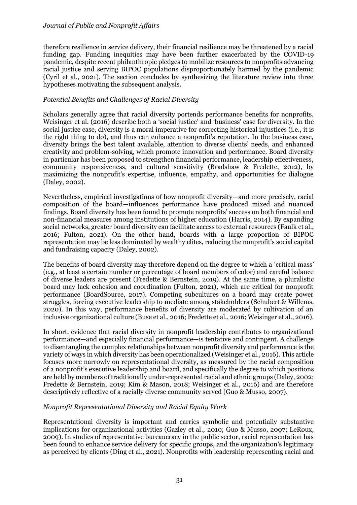therefore resilience in service delivery, their financial resilience may be threatened by a racial funding gap. Funding inequities may have been further exacerbated by the COVID-19 pandemic, despite recent philanthropic pledges to mobilize resources to nonprofits advancing racial justice and serving BIPOC populations disproportionately harmed by the pandemic (Cyril et al., 2021). The section concludes by synthesizing the literature review into three hypotheses motivating the subsequent analysis.

#### *Potential Benefits and Challenges of Racial Diversity*

Scholars generally agree that racial diversity portends performance benefits for nonprofits. Weisinger et al. (2016) describe both a 'social justice' and 'business' case for diversity. In the social justice case, diversity is a moral imperative for correcting historical injustices (i.e., it is the right thing to do), and thus can enhance a nonprofit's reputation. In the business case, diversity brings the best talent available, attention to diverse clients' needs, and enhanced creativity and problem-solving, which promote innovation and performance. Board diversity in particular has been proposed to strengthen financial performance, leadership effectiveness, community responsiveness, and cultural sensitivity (Bradshaw & Fredette, 2012), by maximizing the nonprofit's expertise, influence, empathy, and opportunities for dialogue (Daley, 2002).

Nevertheless, empirical investigations of how nonprofit diversity—and more precisely, racial composition of the board—influences performance have produced mixed and nuanced findings. Board diversity has been found to promote nonprofits' success on both financial and non-financial measures among institutions of higher education (Harris, 2014). By expanding social networks, greater board diversity can facilitate access to external resources (Faulk et al., 2016; Fulton, 2021). On the other hand, boards with a large proportion of BIPOC representation may be less dominated by wealthy elites, reducing the nonprofit's social capital and fundraising capacity (Daley, 2002).

The benefits of board diversity may therefore depend on the degree to which a 'critical mass' (e.g., at least a certain number or percentage of board members of color) and careful balance of diverse leaders are present (Fredette & Bernstein, 2019). At the same time, a pluralistic board may lack cohesion and coordination (Fulton, 2021), which are critical for nonprofit performance (BoardSource, 2017). Competing subcultures on a board may create power struggles, forcing executive leadership to mediate among stakeholders (Schubert & Willems, 2020). In this way, performance benefits of diversity are moderated by cultivation of an inclusive organizational culture (Buse et al., 2016; Fredette et al., 2016; Weisinger et al., 2016).

In short, evidence that racial diversity in nonprofit leadership contributes to organizational performance—and especially financial performance—is tentative and contingent. A challenge to disentangling the complex relationships between nonprofit diversity and performance is the variety of ways in which diversity has been operationalized (Weisinger et al., 2016). This article focuses more narrowly on representational diversity, as measured by the racial composition of a nonprofit's executive leadership and board, and specifically the degree to which positions are held by members of traditionally under-represented racial and ethnic groups (Daley, 2002; Fredette & Bernstein, 2019; Kim & Mason, 2018; Weisinger et al., 2016) and are therefore descriptively reflective of a racially diverse community served (Guo & Musso, 2007).

#### *Nonprofit Representational Diversity and Racial Equity Work*

Representational diversity is important and carries symbolic and potentially substantive implications for organizational activities (Gazley et al., 2010; Guo & Musso, 2007; LeRoux, 2009). In studies of representative bureaucracy in the public sector, racial representation has been found to enhance service delivery for specific groups, and the organization's legitimacy as perceived by clients (Ding et al., 2021). Nonprofits with leadership representing racial and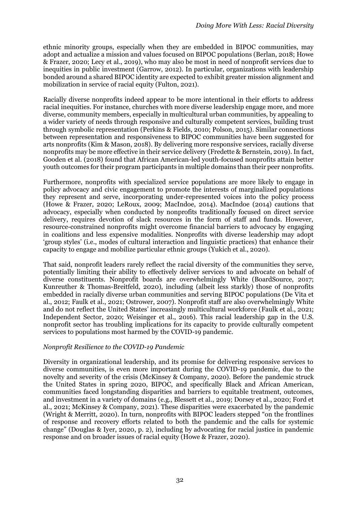ethnic minority groups, especially when they are embedded in BIPOC communities, may adopt and actualize a mission and values focused on BIPOC populations (Berlan, 2018; Howe & Frazer, 2020; Lecy et al., 2019), who may also be most in need of nonprofit services due to inequities in public investment (Garrow, 2012). In particular, organizations with leadership bonded around a shared BIPOC identity are expected to exhibit greater mission alignment and mobilization in service of racial equity (Fulton, 2021).

Racially diverse nonprofits indeed appear to be more intentional in their efforts to address racial inequities. For instance, churches with more diverse leadership engage more, and more diverse, community members, especially in multicultural urban communities, by appealing to a wider variety of needs through responsive and culturally competent services, building trust through symbolic representation (Perkins & Fields, 2010; Polson, 2015). Similar connections between representation and responsiveness to BIPOC communities have been suggested for arts nonprofits (Kim & Mason, 2018). By delivering more responsive services, racially diverse nonprofits may be more effective in their service delivery (Fredette & Bernstein, 2019). In fact, Gooden et al. (2018) found that African American-led youth-focused nonprofits attain better youth outcomes for their program participants in multiple domains than their peer nonprofits.

Furthermore, nonprofits with specialized service populations are more likely to engage in policy advocacy and civic engagement to promote the interests of marginalized populations they represent and serve, incorporating under-represented voices into the policy process (Howe & Frazer, 2020; LeRoux, 2009; MacIndoe, 2014). MacIndoe (2014) cautions that advocacy, especially when conducted by nonprofits traditionally focused on direct service delivery, requires devotion of slack resources in the form of staff and funds. However, resource-constrained nonprofits might overcome financial barriers to advocacy by engaging in coalitions and less expensive modalities. Nonprofits with diverse leadership may adopt 'group styles' (i.e., modes of cultural interaction and linguistic practices) that enhance their capacity to engage and mobilize particular ethnic groups (Yukich et al., 2020).

That said, nonprofit leaders rarely reflect the racial diversity of the communities they serve, potentially limiting their ability to effectively deliver services to and advocate on behalf of diverse constituents. Nonprofit boards are overwhelmingly White (BoardSource, 2017; Kunreuther & Thomas-Breitfeld, 2020), including (albeit less starkly) those of nonprofits embedded in racially diverse urban communities and serving BIPOC populations (De Vita et al., 2012; Faulk et al., 2021; Ostrower, 2007). Nonprofit staff are also overwhelmingly White and do not reflect the United States' increasingly multicultural workforce (Faulk et al., 2021; Independent Sector, 2020; Weisinger et al., 2016). This racial leadership gap in the U.S. nonprofit sector has troubling implications for its capacity to provide culturally competent services to populations most harmed by the COVID-19 pandemic.

## *Nonprofit Resilience to the COVID-19 Pandemic*

Diversity in organizational leadership, and its promise for delivering responsive services to diverse communities, is even more important during the COVID-19 pandemic, due to the novelty and severity of the crisis (McKinsey & Company, 2020). Before the pandemic struck the United States in spring 2020, BIPOC, and specifically Black and African American, communities faced longstanding disparities and barriers to equitable treatment, outcomes, and investment in a variety of domains (e.g., Blessett et al., 2019; Dorsey et al., 2020; Ford et al., 2021; McKinsey & Company, 2021). These disparities were exacerbated by the pandemic (Wright & Merritt, 2020). In turn, nonprofits with BIPOC leaders stepped "on the frontlines of response and recovery efforts related to both the pandemic and the calls for systemic change" (Douglas & Iyer, 2020, p. 2), including by advocating for racial justice in pandemic response and on broader issues of racial equity (Howe & Frazer, 2020).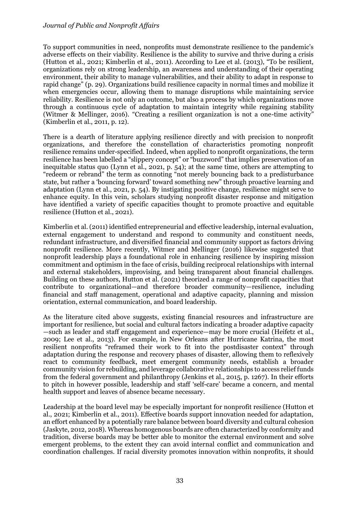To support communities in need, nonprofits must demonstrate resilience to the pandemic's adverse effects on their viability. Resilience is the ability to survive and thrive during a crisis (Hutton et al., 2021; Kimberlin et al., 2011). According to Lee et al. (2013), "To be resilient, organizations rely on strong leadership, an awareness and understanding of their operating environment, their ability to manage vulnerabilities, and their ability to adapt in response to rapid change" (p. 29). Organizations build resilience capacity in normal times and mobilize it when emergencies occur, allowing them to manage disruptions while maintaining service reliability. Resilience is not only an outcome, but also a process by which organizations move through a continuous cycle of adaptation to maintain integrity while regaining stability (Witmer & Mellinger, 2016). "Creating a resilient organization is not a one-time activity" (Kimberlin et al., 2011, p. 12).

There is a dearth of literature applying resilience directly and with precision to nonprofit organizations, and therefore the constellation of characteristics promoting nonprofit resilience remains under-specified. Indeed, when applied to nonprofit organizations, the term resilience has been labelled a "slippery concept" or "buzzword" that implies preservation of an inequitable status quo (Lynn et al., 2021, p. 54); at the same time, others are attempting to "redeem or rebrand" the term as connoting "not merely bouncing back to a predisturbance state, but rather a 'bouncing forward' toward something new" through proactive learning and adaptation (Lynn et al., 2021, p. 54). By instigating positive change, resilience might serve to enhance equity. In this vein, scholars studying nonprofit disaster response and mitigation have identified a variety of specific capacities thought to promote proactive and equitable resilience (Hutton et al., 2021).

Kimberlin et al. (2011) identified entrepreneurial and effective leadership, internal evaluation, external engagement to understand and respond to community and constituent needs, redundant infrastructure, and diversified financial and community support as factors driving nonprofit resilience. More recently, Witmer and Mellinger (2016) likewise suggested that nonprofit leadership plays a foundational role in enhancing resilience by inspiring mission commitment and optimism in the face of crisis, building reciprocal relationships with internal and external stakeholders, improvising, and being transparent about financial challenges. Building on these authors, Hutton et al. (2021) theorized a range of nonprofit capacities that contribute to organizational—and therefore broader community—resilience, including financial and staff management, operational and adaptive capacity, planning and mission orientation, external communication, and board leadership.

As the literature cited above suggests, existing financial resources and infrastructure are important for resilience, but social and cultural factors indicating a broader adaptive capacity —such as leader and staff engagement and experience—may be more crucial (Heifetz et al., 2009; Lee et al., 2013). For example, in New Orleans after Hurricane Katrina, the most resilient nonprofits "reframed their work to fit into the postdisaster context" through adaptation during the response and recovery phases of disaster, allowing them to reflexively react to community feedback, meet emergent community needs, establish a broader community vision for rebuilding, and leverage collaborative relationships to access relief funds from the federal government and philanthropy (Jenkins et al., 2015, p. 1267). In their efforts to pitch in however possible, leadership and staff 'self-care' became a concern, and mental health support and leaves of absence became necessary.

Leadership at the board level may be especially important for nonprofit resilience (Hutton et al., 2021; Kimberlin et al., 2011). Effective boards support innovation needed for adaptation, an effort enhanced by a potentially rare balance between board diversity and cultural cohesion (Jaskyte, 2012, 2018). Whereas homogenous boards are often characterized by conformity and tradition, diverse boards may be better able to monitor the external environment and solve emergent problems, to the extent they can avoid internal conflict and communication and coordination challenges. If racial diversity promotes innovation within nonprofits, it should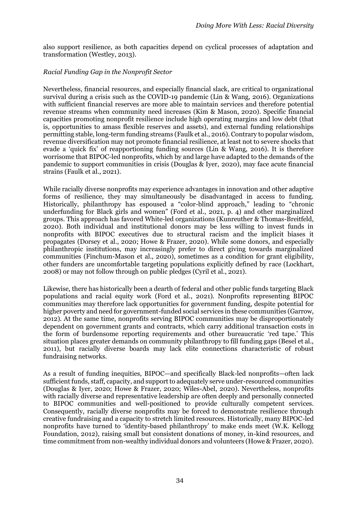also support resilience, as both capacities depend on cyclical processes of adaptation and transformation (Westley, 2013).

## *Racial Funding Gap in the Nonprofit Sector*

Nevertheless, financial resources, and especially financial slack, are critical to organizational survival during a crisis such as the COVID-19 pandemic (Lin & Wang, 2016). Organizations with sufficient financial reserves are more able to maintain services and therefore potential revenue streams when community need increases (Kim & Mason, 2020). Specific financial capacities promoting nonprofit resilience include high operating margins and low debt (that is, opportunities to amass flexible reserves and assets), and external funding relationships permitting stable, long-term funding streams (Faulk et al., 2016). Contrary to popular wisdom, revenue diversification may not promote financial resilience, at least not to severe shocks that evade a 'quick fix' of reapportioning funding sources (Lin & Wang, 2016). It is therefore worrisome that BIPOC-led nonprofits, which by and large have adapted to the demands of the pandemic to support communities in crisis (Douglas & Iyer, 2020), may face acute financial strains (Faulk et al., 2021).

While racially diverse nonprofits may experience advantages in innovation and other adaptive forms of resilience, they may simultaneously be disadvantaged in access to funding. Historically, philanthropy has espoused a "color-blind approach," leading to "chronic underfunding for Black girls and women" (Ford et al., 2021, p. 4) and other marginalized groups. This approach has favored White-led organizations (Kunreuther & Thomas-Breitfeld, 2020). Both individual and institutional donors may be less willing to invest funds in nonprofits with BIPOC executives due to structural racism and the implicit biases it propagates (Dorsey et al., 2020; Howe & Frazer, 2020). While some donors, and especially philanthropic institutions, may increasingly prefer to direct giving towards marginalized communities (Finchum-Mason et al., 2020), sometimes as a condition for grant eligibility, other funders are uncomfortable targeting populations explicitly defined by race (Lockhart, 2008) or may not follow through on public pledges (Cyril et al., 2021).

Likewise, there has historically been a dearth of federal and other public funds targeting Black populations and racial equity work (Ford et al., 2021). Nonprofits representing BIPOC communities may therefore lack opportunities for government funding, despite potential for higher poverty and need for government-funded social services in these communities (Garrow, 2012). At the same time, nonprofits serving BIPOC communities may be disproportionately dependent on government grants and contracts, which carry additional transaction costs in the form of burdensome reporting requirements and other bureaucratic 'red tape.' This situation places greater demands on community philanthropy to fill funding gaps (Besel et al., 2011), but racially diverse boards may lack elite connections characteristic of robust fundraising networks.

As a result of funding inequities, BIPOC—and specifically Black-led nonprofits—often lack sufficient funds, staff, capacity, and support to adequately serve under-resourced communities (Douglas & Iyer, 2020; Howe & Frazer, 2020; Wiles-Abel, 2020). Nevertheless, nonprofits with racially diverse and representative leadership are often deeply and personally connected to BIPOC communities and well-positioned to provide culturally competent services. Consequently, racially diverse nonprofits may be forced to demonstrate resilience through creative fundraising and a capacity to stretch limited resources. Historically, many BIPOC-led nonprofits have turned to 'identity-based philanthropy' to make ends meet (W.K. Kellogg Foundation, 2012), raising small but consistent donations of money, in-kind resources, and time commitment from non-wealthy individual donors and volunteers (Howe & Frazer, 2020).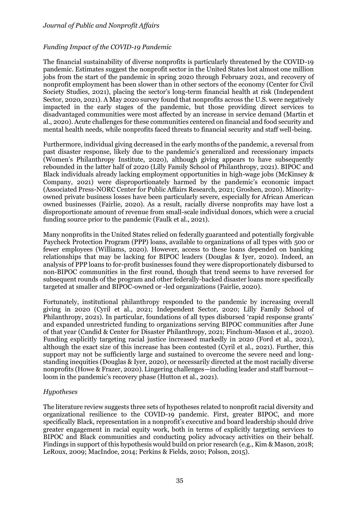## *Funding Impact of the COVID-19 Pandemic*

The financial sustainability of diverse nonprofits is particularly threatened by the COVID-19 pandemic. Estimates suggest the nonprofit sector in the United States lost almost one million jobs from the start of the pandemic in spring 2020 through February 2021, and recovery of nonprofit employment has been slower than in other sectors of the economy (Center for Civil Society Studies, 2021), placing the sector's long-term financial health at risk (Independent Sector, 2020, 2021). A May 2020 survey found that nonprofits across the U.S. were negatively impacted in the early stages of the pandemic, but those providing direct services to disadvantaged communities were most affected by an increase in service demand (Martin et al., 2020). Acute challenges for these communities centered on financial and food security and mental health needs, while nonprofits faced threats to financial security and staff well-being.

Furthermore, individual giving decreased in the early months of the pandemic, a reversal from past disaster response, likely due to the pandemic's generalized and recessionary impacts (Women's Philanthropy Institute, 2020), although giving appears to have subsequently rebounded in the latter half of 2020 (Lilly Family School of Philanthropy, 2021). BIPOC and Black individuals already lacking employment opportunities in high-wage jobs (McKinsey & Company, 2021) were disproportionately harmed by the pandemic's economic impact (Associated Press-NORC Center for Public Affairs Research, 2021; Groshen, 2020). Minorityowned private business losses have been particularly severe, especially for African American owned businesses (Fairlie, 2020). As a result, racially diverse nonprofits may have lost a disproportionate amount of revenue from small-scale individual donors, which were a crucial funding source prior to the pandemic (Faulk et al., 2021).

Many nonprofits in the United States relied on federally guaranteed and potentially forgivable Paycheck Protection Program (PPP) loans, available to organizations of all types with 500 or fewer employees (Williams, 2020). However, access to these loans depended on banking relationships that may be lacking for BIPOC leaders (Douglas & Iyer, 2020). Indeed, an analysis of PPP loans to for-profit businesses found they were disproportionately disbursed to non-BIPOC communities in the first round, though that trend seems to have reversed for subsequent rounds of the program and other federally-backed disaster loans more specifically targeted at smaller and BIPOC-owned or -led organizations (Fairlie, 2020).

Fortunately, institutional philanthropy responded to the pandemic by increasing overall giving in 2020 (Cyril et al., 2021; Independent Sector, 2020; Lilly Family School of Philanthropy, 2021). In particular, foundations of all types disbursed 'rapid response grants' and expanded unrestricted funding to organizations serving BIPOC communities after June of that year (Candid & Center for Disaster Philanthropy, 2021; Finchum-Mason et al., 2020). Funding explicitly targeting racial justice increased markedly in 2020 (Ford et al., 2021), although the exact size of this increase has been contested (Cyril et al., 2021). Further, this support may not be sufficiently large and sustained to overcome the severe need and longstanding inequities (Douglas & Iyer, 2020), or necessarily directed at the most racially diverse nonprofits (Howe & Frazer, 2020). Lingering challenges—including leader and staff burnout loom in the pandemic's recovery phase (Hutton et al., 2021).

## *Hypotheses*

The literature review suggests three sets of hypotheses related to nonprofit racial diversity and organizational resilience to the COVID-19 pandemic. First, greater BIPOC, and more specifically Black, representation in a nonprofit's executive and board leadership should drive greater engagement in racial equity work, both in terms of explicitly targeting services to BIPOC and Black communities and conducting policy advocacy activities on their behalf. Findings in support of this hypothesis would build on prior research (e.g., Kim & Mason, 2018; LeRoux, 2009; MacIndoe, 2014; Perkins & Fields, 2010; Polson, 2015).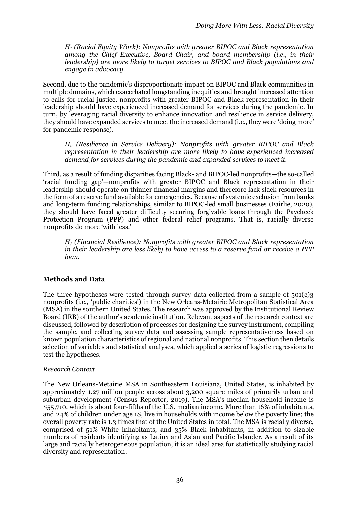*H<sup>1</sup> (Racial Equity Work): Nonprofits with greater BIPOC and Black representation among the Chief Executive, Board Chair, and board membership (i.e., in their leadership) are more likely to target services to BIPOC and Black populations and engage in advocacy.*

Second, due to the pandemic's disproportionate impact on BIPOC and Black communities in multiple domains, which exacerbated longstanding inequities and brought increased attention to calls for racial justice, nonprofits with greater BIPOC and Black representation in their leadership should have experienced increased demand for services during the pandemic. In turn, by leveraging racial diversity to enhance innovation and resilience in service delivery, they should have expanded services to meet the increased demand (i.e., they were 'doing more' for pandemic response).

*H<sup>2</sup> (Resilience in Service Delivery): Nonprofits with greater BIPOC and Black representation in their leadership are more likely to have experienced increased demand for services during the pandemic and expanded services to meet it.*

Third, as a result of funding disparities facing Black- and BIPOC-led nonprofits—the so-called 'racial funding gap'—nonprofits with greater BIPOC and Black representation in their leadership should operate on thinner financial margins and therefore lack slack resources in the form of a reserve fund available for emergencies. Because of systemic exclusion from banks and long-term funding relationships, similar to BIPOC-led small businesses (Fairlie, 2020), they should have faced greater difficulty securing forgivable loans through the Paycheck Protection Program (PPP) and other federal relief programs. That is, racially diverse nonprofits do more 'with less.'

*H<sup>3</sup> (Financial Resilience): Nonprofits with greater BIPOC and Black representation in their leadership are less likely to have access to a reserve fund or receive a PPP loan.*

## **Methods and Data**

The three hypotheses were tested through survey data collected from a sample of 501(c)3 nonprofits (i.e., 'public charities') in the New Orleans-Metairie Metropolitan Statistical Area (MSA) in the southern United States. The research was approved by the Institutional Review Board (IRB) of the author's academic institution. Relevant aspects of the research context are discussed, followed by description of processes for designing the survey instrument, compiling the sample, and collecting survey data and assessing sample representativeness based on known population characteristics of regional and national nonprofits. This section then details selection of variables and statistical analyses, which applied a series of logistic regressions to test the hypotheses.

## *Research Context*

The New Orleans-Metairie MSA in Southeastern Louisiana, United States, is inhabited by approximately 1.27 million people across about 3,200 square miles of primarily urban and suburban development (Census Reporter, 2019). The MSA's median household income is \$55,710, which is about four-fifths of the U.S. median income. More than 16% of inhabitants, and 24% of children under age 18, live in households with income below the poverty line; the overall poverty rate is 1.3 times that of the United States in total. The MSA is racially diverse, comprised of 51% White inhabitants, and 35% Black inhabitants, in addition to sizable numbers of residents identifying as Latinx and Asian and Pacific Islander. As a result of its large and racially heterogeneous population, it is an ideal area for statistically studying racial diversity and representation.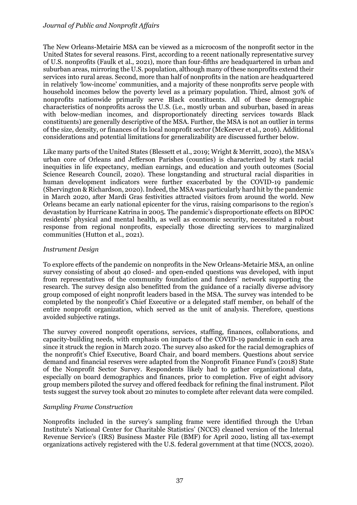The New Orleans-Metairie MSA can be viewed as a microcosm of the nonprofit sector in the United States for several reasons. First, according to a recent nationally representative survey of U.S. nonprofits (Faulk et al., 2021), more than four-fifths are headquartered in urban and suburban areas, mirroring the U.S. population, although many of these nonprofits extend their services into rural areas. Second, more than half of nonprofits in the nation are headquartered in relatively 'low-income' communities, and a majority of these nonprofits serve people with household incomes below the poverty level as a primary population. Third, almost 30% of nonprofits nationwide primarily serve Black constituents. All of these demographic characteristics of nonprofits across the U.S. (i.e., mostly urban and suburban, based in areas with below-median incomes, and disproportionately directing services towards Black constituents) are generally descriptive of the MSA. Further, the MSA is not an outlier in terms of the size, density, or finances of its local nonprofit sector (McKeever et al., 2016). Additional considerations and potential limitations for generalizability are discussed further below.

Like many parts of the United States (Blessett et al., 2019; Wright & Merritt, 2020), the MSA's urban core of Orleans and Jefferson Parishes (counties) is characterized by stark racial inequities in life expectancy, median earnings, and education and youth outcomes (Social Science Research Council, 2020). These longstanding and structural racial disparities in human development indicators were further exacerbated by the COVID-19 pandemic (Shervington & Richardson, 2020). Indeed, the MSA was particularly hard hit by the pandemic in March 2020, after Mardi Gras festivities attracted visitors from around the world. New Orleans became an early national epicenter for the virus, raising comparisons to the region's devastation by Hurricane Katrina in 2005. The pandemic's disproportionate effects on BIPOC residents' physical and mental health, as well as economic security, necessitated a robust response from regional nonprofits, especially those directing services to marginalized communities (Hutton et al., 2021).

#### *Instrument Design*

To explore effects of the pandemic on nonprofits in the New Orleans-Metairie MSA, an online survey consisting of about 40 closed- and open-ended questions was developed, with input from representatives of the community foundation and funders' network supporting the research. The survey design also benefitted from the guidance of a racially diverse advisory group composed of eight nonprofit leaders based in the MSA. The survey was intended to be completed by the nonprofit's Chief Executive or a delegated staff member, on behalf of the entire nonprofit organization, which served as the unit of analysis. Therefore, questions avoided subjective ratings.

The survey covered nonprofit operations, services, staffing, finances, collaborations, and capacity-building needs, with emphasis on impacts of the COVID-19 pandemic in each area since it struck the region in March 2020. The survey also asked for the racial demographics of the nonprofit's Chief Executive, Board Chair, and board members. Questions about service demand and financial reserves were adapted from the Nonprofit Finance Fund's (2018) State of the Nonprofit Sector Survey. Respondents likely had to gather organizational data, especially on board demographics and finances, prior to completion. Five of eight advisory group members piloted the survey and offered feedback for refining the final instrument. Pilot tests suggest the survey took about 20 minutes to complete after relevant data were compiled.

#### *Sampling Frame Construction*

Nonprofits included in the survey's sampling frame were identified through the Urban Institute's National Center for Charitable Statistics' (NCCS) cleaned version of the Internal Revenue Service's (IRS) Business Master File (BMF) for April 2020, listing all tax-exempt organizations actively registered with the U.S. federal government at that time (NCCS, 2020).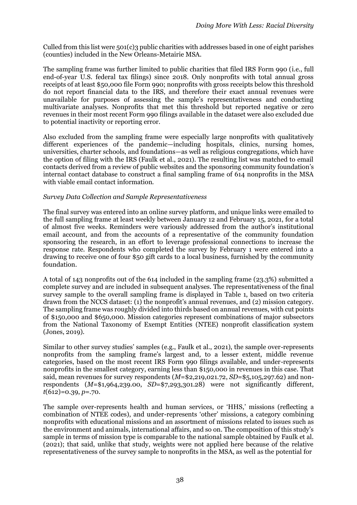Culled from this list were 501(c)3 public charities with addresses based in one of eight parishes (counties) included in the New Orleans-Metairie MSA.

The sampling frame was further limited to public charities that filed IRS Form 990 (i.e., full end-of-year U.S. federal tax filings) since 2018. Only nonprofits with total annual gross receipts of at least \$50,000 file Form 990; nonprofits with gross receipts below this threshold do not report financial data to the IRS, and therefore their exact annual revenues were unavailable for purposes of assessing the sample's representativeness and conducting multivariate analyses. Nonprofits that met this threshold but reported negative or zero revenues in their most recent Form 990 filings available in the dataset were also excluded due to potential inactivity or reporting error.

Also excluded from the sampling frame were especially large nonprofits with qualitatively different experiences of the pandemic—including hospitals, clinics, nursing homes, universities, charter schools, and foundations—as well as religious congregations, which have the option of filing with the IRS (Faulk et al., 2021). The resulting list was matched to email contacts derived from a review of public websites and the sponsoring community foundation's internal contact database to construct a final sampling frame of 614 nonprofits in the MSA with viable email contact information.

#### *Survey Data Collection and Sample Representativeness*

The final survey was entered into an online survey platform, and unique links were emailed to the full sampling frame at least weekly between January 12 and February 15, 2021, for a total of almost five weeks. Reminders were variously addressed from the author's institutional email account, and from the accounts of a representative of the community foundation sponsoring the research, in an effort to leverage professional connections to increase the response rate. Respondents who completed the survey by February 1 were entered into a drawing to receive one of four \$50 gift cards to a local business, furnished by the community foundation.

A total of 143 nonprofits out of the 614 included in the sampling frame (23.3%) submitted a complete survey and are included in subsequent analyses. The representativeness of the final survey sample to the overall sampling frame is displayed in Table 1, based on two criteria drawn from the NCCS dataset: (1) the nonprofit's annual revenues, and (2) mission category. The sampling frame was roughly divided into thirds based on annual revenues, with cut points of \$150,000 and \$650,000. Mission categories represent combinations of major subsectors from the National Taxonomy of Exempt Entities (NTEE) nonprofit classification system (Jones, 2019).

Similar to other survey studies' samples (e.g., Faulk et al., 2021), the sample over-represents nonprofits from the sampling frame's largest and, to a lesser extent, middle revenue categories, based on the most recent IRS Form 990 filings available, and under-represents nonprofits in the smallest category, earning less than \$150,000 in revenues in this case. That said, mean revenues for survey respondents (*M*=\$2,219,021.72, *SD*=\$5,105,297.62) and nonrespondents (*M*=\$1,964,239.00, *SD*=\$7,293,301.28) were not significantly different, *t*(612)=0.39, *p*=.70.

The sample over-represents health and human services, or 'HHS,' missions (reflecting a combination of NTEE codes), and under-represents 'other' missions, a category combining nonprofits with educational missions and an assortment of missions related to issues such as the environment and animals, international affairs, and so on. The composition of this study's sample in terms of mission type is comparable to the national sample obtained by Faulk et al. (2021); that said, unlike that study, weights were not applied here because of the relative representativeness of the survey sample to nonprofits in the MSA, as well as the potential for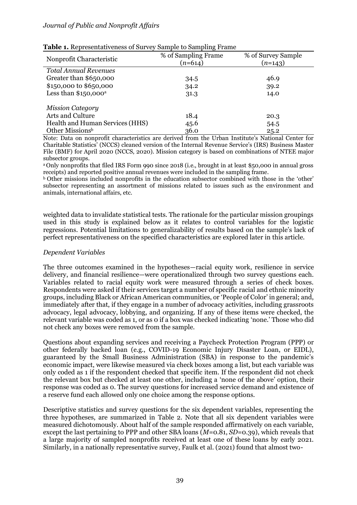| Nonprofit Characteristic        | % of Sampling Frame<br>$(n=614)$ | % of Survey Sample<br>$(n=143)$ |
|---------------------------------|----------------------------------|---------------------------------|
| <b>Total Annual Revenues</b>    |                                  |                                 |
| Greater than \$650,000          | 34.5                             | 46.9                            |
| \$150,000 to \$650,000          | 34.2                             | 39.2                            |
| Less than $$150,000^a$          | 31.3                             | 14.0                            |
| <b>Mission Category</b>         |                                  |                                 |
| Arts and Culture                | 18.4                             | 20.3                            |
| Health and Human Services (HHS) | 45.6                             | 54.5                            |
| Other Missionsb                 | 36.0                             | 25.2                            |

| <b>Table 1.</b> Representativeness of Survey Sample to Sampling Frame |  |  |  |  |  |
|-----------------------------------------------------------------------|--|--|--|--|--|
|-----------------------------------------------------------------------|--|--|--|--|--|

Note: Data on nonprofit characteristics are derived from the Urban Institute's National Center for Charitable Statistics' (NCCS) cleaned version of the Internal Revenue Service's (IRS) Business Master File (BMF) for April 2020 (NCCS, 2020). Mission category is based on combinations of NTEE major subsector groups.

<sup>a</sup>Only nonprofits that filed IRS Form 990 since 2018 (i.e., brought in at least \$50,000 in annual gross receipts) and reported positive annual revenues were included in the sampling frame.

<sup>b</sup> Other missions included nonprofits in the education subsector combined with those in the 'other' subsector representing an assortment of missions related to issues such as the environment and animals, international affairs, etc.

weighted data to invalidate statistical tests. The rationale for the particular mission groupings used in this study is explained below as it relates to control variables for the logistic regressions. Potential limitations to generalizability of results based on the sample's lack of perfect representativeness on the specified characteristics are explored later in this article.

#### *Dependent Variables*

The three outcomes examined in the hypotheses—racial equity work, resilience in service delivery, and financial resilience—were operationalized through two survey questions each. Variables related to racial equity work were measured through a series of check boxes. Respondents were asked if their services target a number of specific racial and ethnic minority groups, including Black or African American communities, or 'People of Color' in general; and, immediately after that, if they engage in a number of advocacy activities, including grassroots advocacy, legal advocacy, lobbying, and organizing. If any of these items were checked, the relevant variable was coded as 1, or as 0 if a box was checked indicating 'none.' Those who did not check any boxes were removed from the sample.

Questions about expanding services and receiving a Paycheck Protection Program (PPP) or other federally backed loan (e.g., COVID-19 Economic Injury Disaster Loan, or EIDL), guaranteed by the Small Business Administration (SBA) in response to the pandemic's economic impact, were likewise measured via check boxes among a list, but each variable was only coded as 1 if the respondent checked that specific item. If the respondent did not check the relevant box but checked at least one other, including a 'none of the above' option, their response was coded as 0. The survey questions for increased service demand and existence of a reserve fund each allowed only one choice among the response options.

Descriptive statistics and survey questions for the six dependent variables, representing the three hypotheses, are summarized in Table 2. Note that all six dependent variables were measured dichotomously. About half of the sample responded affirmatively on each variable, except the last pertaining to PPP and other SBA loans (*M*=0.81, *SD*=0.39), which reveals that a large majority of sampled nonprofits received at least one of these loans by early 2021. Similarly, in a nationally representative survey, Faulk et al. (2021) found that almost two-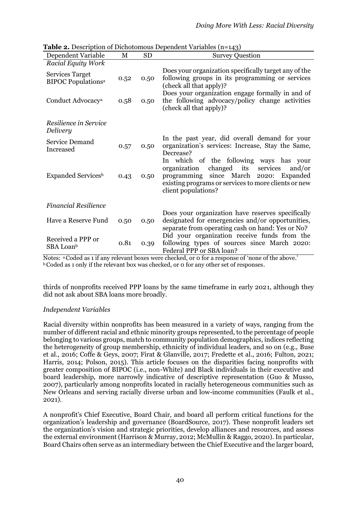| <b>Table 2.</b> Description of Dichotomous Dependent Variables (n=143) |      |           |                                                                                                                                                                                                                             |
|------------------------------------------------------------------------|------|-----------|-----------------------------------------------------------------------------------------------------------------------------------------------------------------------------------------------------------------------------|
| Dependent Variable                                                     | M    | <b>SD</b> | <b>Survey Question</b>                                                                                                                                                                                                      |
| <b>Racial Equity Work</b>                                              |      |           |                                                                                                                                                                                                                             |
| <b>Services Target</b><br><b>BIPOC Populations<sup>a</sup></b>         | 0.52 | 0.50      | Does your organization specifically target any of the<br>following groups in its programming or services<br>(check all that apply)?                                                                                         |
| Conduct Advocacy <sup>a</sup>                                          | 0.58 | 0.50      | Does your organization engage formally in and of<br>the following advocacy/policy change activities<br>(check all that apply)?                                                                                              |
| Resilience in Service<br>Delivery                                      |      |           |                                                                                                                                                                                                                             |
| Service Demand<br>Increased                                            | 0.57 | 0.50      | In the past year, did overall demand for your<br>organization's services: Increase, Stay the Same,<br>Decrease?                                                                                                             |
| Expanded Services <sup>b</sup>                                         | 0.43 | 0.50      | In which of the following ways has your<br>changed<br>its<br>organization<br>services<br>and/or<br>since March 2020: Expanded<br>programming<br>existing programs or services to more clients or new<br>client populations? |
| <b>Financial Resilience</b>                                            |      |           |                                                                                                                                                                                                                             |
| Have a Reserve Fund                                                    | 0.50 | 0.50      | Does your organization have reserves specifically<br>designated for emergencies and/or opportunities,<br>separate from operating cash on hand: Yes or No?                                                                   |
| Received a PPP or<br>SBA Loan <sup>b</sup>                             | 0.81 | 0.39      | Did your organization receive funds from the<br>following types of sources since March 2020:<br>Federal PPP or SBA loan?<br>$\sim$ $\epsilon$<br>$\sim$ $\cdot$ $\cdot$                                                     |

**Table 2.** Description of Dichotomous Dependent Variables (n=143)

Notes: aCoded as 1 if any relevant boxes were checked, or 0 for a response of 'none of the above.' <sup>b</sup> Coded as 1 only if the relevant box was checked, or 0 for any other set of responses.

thirds of nonprofits received PPP loans by the same timeframe in early 2021, although they did not ask about SBA loans more broadly.

# *Independent Variables*

Racial diversity within nonprofits has been measured in a variety of ways, ranging from the number of different racial and ethnic minority groups represented, to the percentage of people belonging to various groups, match to community population demographics, indices reflecting the heterogeneity of group membership, ethnicity of individual leaders, and so on (e.g., Buse et al., 2016; Coffe & Geys, 2007; Firat & Glanville, 2017; Fredette et al., 2016; Fulton, 2021; Harris, 2014; Polson, 2015). This article focuses on the disparities facing nonprofits with greater composition of BIPOC (i.e., non-White) and Black individuals in their executive and board leadership, more narrowly indicative of descriptive representation (Guo & Musso, 2007), particularly among nonprofits located in racially heterogeneous communities such as New Orleans and serving racially diverse urban and low-income communities (Faulk et al., 2021).

A nonprofit's Chief Executive, Board Chair, and board all perform critical functions for the organization's leadership and governance (BoardSource, 2017). These nonprofit leaders set the organization's vision and strategic priorities, develop alliances and resources, and assess the external environment (Harrison & Murray, 2012; McMullin & Raggo, 2020). In particular, Board Chairs often serve as an intermediary between the Chief Executive and the larger board,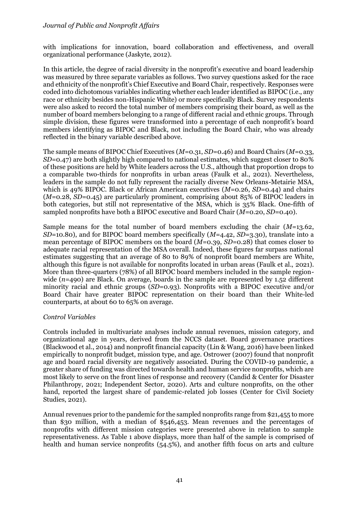with implications for innovation, board collaboration and effectiveness, and overall organizational performance (Jaskyte, 2012).

In this article, the degree of racial diversity in the nonprofit's executive and board leadership was measured by three separate variables as follows. Two survey questions asked for the race and ethnicity of the nonprofit's Chief Executive and Board Chair, respectively. Responses were coded into dichotomous variables indicating whether each leader identified as BIPOC (i.e., any race or ethnicity besides non-Hispanic White) or more specifically Black. Survey respondents were also asked to record the total number of members comprising their board, as well as the number of board members belonging to a range of different racial and ethnic groups. Through simple division, these figures were transformed into a percentage of each nonprofit's board members identifying as BIPOC and Black, not including the Board Chair, who was already reflected in the binary variable described above.

The sample means of BIPOC Chief Executives (*M*=0.31, *SD*=0.46) and Board Chairs (*M*=0.33, *SD*=0.47) are both slightly high compared to national estimates, which suggest closer to 80% of these positions are held by White leaders across the U.S., although that proportion drops to a comparable two-thirds for nonprofits in urban areas (Faulk et al., 2021). Nevertheless, leaders in the sample do not fully represent the racially diverse New Orleans-Metairie MSA, which is 49% BIPOC. Black or African American executives ( $M=0.26$ ,  $SD=0.44$ ) and chairs (*M*=0.28, *SD*=0.45) are particularly prominent, comprising about 85% of BIPOC leaders in both categories, but still not representative of the MSA, which is 35% Black. One-fifth of sampled nonprofits have both a BIPOC executive and Board Chair (*M*=0.20, *SD*=0.40).

Sample means for the total number of board members excluding the chair (*M*=13.62, *SD*=10.80), and for BIPOC board members specifically (*M*=4.42, *SD*=3.30), translate into a mean percentage of BIPOC members on the board (*M*=0.39, *SD*=0.28) that comes closer to adequate racial representation of the MSA overall. Indeed, these figures far surpass national estimates suggesting that an average of 80 to 89% of nonprofit board members are White, although this figure is not available for nonprofits located in urban areas (Faulk et al., 2021). More than three-quarters (78%) of all BIPOC board members included in the sample regionwide  $(n=490)$  are Black. On average, boards in the sample are represented by 1.52 different minority racial and ethnic groups (*SD*=0.93). Nonprofits with a BIPOC executive and/or Board Chair have greater BIPOC representation on their board than their White-led counterparts, at about 60 to 65% on average.

## *Control Variables*

Controls included in multivariate analyses include annual revenues, mission category, and organizational age in years, derived from the NCCS dataset. Board governance practices (Blackwood et al., 2014) and nonprofit financial capacity (Lin & Wang, 2016) have been linked empirically to nonprofit budget, mission type, and age. Ostrower (2007) found that nonprofit age and board racial diversity are negatively associated. During the COVID-19 pandemic, a greater share of funding was directed towards health and human service nonprofits, which are most likely to serve on the front lines of response and recovery (Candid & Center for Disaster Philanthropy, 2021; Independent Sector, 2020). Arts and culture nonprofits, on the other hand, reported the largest share of pandemic-related job losses (Center for Civil Society Studies, 2021).

Annual revenues prior to the pandemic for the sampled nonprofits range from \$21,455 to more than \$30 million, with a median of \$546,453. Mean revenues and the percentages of nonprofits with different mission categories were presented above in relation to sample representativeness. As Table 1 above displays, more than half of the sample is comprised of health and human service nonprofits (54.5%), and another fifth focus on arts and culture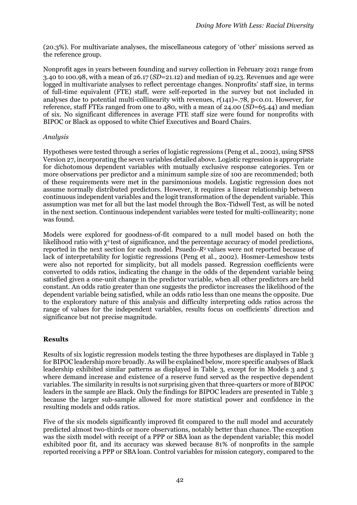(20.3%). For multivariate analyses, the miscellaneous category of 'other' missions served as the reference group.

Nonprofit ages in years between founding and survey collection in February 2021 range from 3.40 to 100.98, with a mean of 26.17 (*SD*=21.12) and median of 19.23. Revenues and age were logged in multivariate analyses to reflect percentage changes. Nonprofits' staff size, in terms of full-time equivalent (FTE) staff, were self-reported in the survey but not included in analyses due to potential multi-collinearity with revenues,  $r(141)=.78$ , p<0.01. However, for reference, staff FTEs ranged from one to 480, with a mean of 24.00 (*SD*=65.44) and median of six. No significant differences in average FTE staff size were found for nonprofits with BIPOC or Black as opposed to white Chief Executives and Board Chairs.

## *Analysis*

Hypotheses were tested through a series of logistic regressions (Peng et al., 2002), using SPSS Version 27, incorporating the seven variables detailed above. Logistic regression is appropriate for dichotomous dependent variables with mutually exclusive response categories. Ten or more observations per predictor and a minimum sample size of 100 are recommended; both of these requirements were met in the parsimonious models. Logistic regression does not assume normally distributed predictors. However, it requires a linear relationship between continuous independent variables and the logit transformation of the dependent variable. This assumption was met for all but the last model through the Box-Tidwell Test, as will be noted in the next section. Continuous independent variables were tested for multi-collinearity; none was found.

Models were explored for goodness-of-fit compared to a null model based on both the likelihood ratio with  $\chi^2$  test of significance, and the percentage accuracy of model predictions, reported in the next section for each model. Psuedo-*R*2 values were not reported because of lack of interpretability for logistic regressions (Peng et al., 2002). Hosmer-Lemeshow tests were also not reported for simplicity, but all models passed. Regression coefficients were converted to odds ratios, indicating the change in the odds of the dependent variable being satisfied given a one-unit change in the predictor variable, when all other predictors are held constant. An odds ratio greater than one suggests the predictor increases the likelihood of the dependent variable being satisfied, while an odds ratio less than one means the opposite. Due to the exploratory nature of this analysis and difficulty interpreting odds ratios across the range of values for the independent variables, results focus on coefficients' direction and significance but not precise magnitude.

## **Results**

Results of six logistic regression models testing the three hypotheses are displayed in Table 3 for BIPOC leadership more broadly. As will be explained below, more specific analyses of Black leadership exhibited similar patterns as displayed in Table 3, except for in Models 3 and 5 where demand increase and existence of a reserve fund served as the respective dependent variables. The similarity in results is not surprising given that three-quarters or more of BIPOC leaders in the sample are Black. Only the findings for BIPOC leaders are presented in Table 3 because the larger sub-sample allowed for more statistical power and confidence in the resulting models and odds ratios.

Five of the six models significantly improved fit compared to the null model and accurately predicted almost two-thirds or more observations, notably better than chance. The exception was the sixth model with receipt of a PPP or SBA loan as the dependent variable; this model exhibited poor fit, and its accuracy was skewed because 81% of nonprofits in the sample reported receiving a PPP or SBA loan. Control variables for mission category, compared to the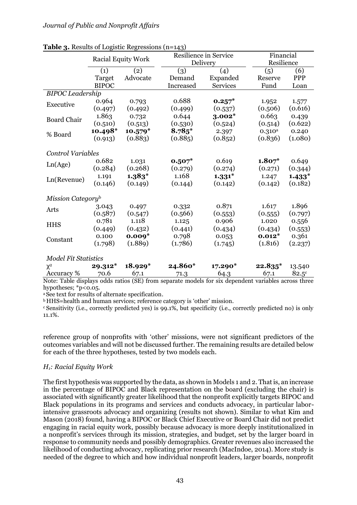| <b>Table 3.</b> Nesults of Logistic Regressions (11=143)  |                           |           |                                   |                 |             |                         |  |
|-----------------------------------------------------------|---------------------------|-----------|-----------------------------------|-----------------|-------------|-------------------------|--|
|                                                           | <b>Racial Equity Work</b> |           | Resilience in Service<br>Delivery |                 |             | Financial<br>Resilience |  |
|                                                           |                           |           |                                   |                 |             |                         |  |
|                                                           | (1)                       | (2)       | (3)                               | (4)             | (5)         | (6)                     |  |
|                                                           | Target                    | Advocate  | Demand                            | Expanded        | Reserve     | PPP                     |  |
|                                                           | <b>BIPOC</b>              |           | Increased                         | <b>Services</b> | Fund        | Loan                    |  |
| <b>BIPOC</b> Leadership                                   |                           |           |                                   |                 |             |                         |  |
| Executive                                                 | 0.964                     | 0.793     | 0.688                             | $0.257*$        | 1.952       | 1.577                   |  |
|                                                           | (0.497)                   | (0.492)   | (0.499)                           | (0.537)         | (0.506)     | (0.616)                 |  |
| <b>Board Chair</b>                                        | 1.863                     | 0.732     | 0.644                             | $3.002*$        | 0.663       | 0.439                   |  |
|                                                           | (0.510)                   | (0.513)   | (0.530)                           | (0.524)         | (0.514)     | (0.622)                 |  |
| % Board                                                   | $10.498*$                 | $10.579*$ | $8.785*$                          | 2.397           | $0.310^{a}$ | 0.240                   |  |
|                                                           | (0.913)                   | (0.883)   | (0.885)                           | (0.852)         | (0.836)     | (1.080)                 |  |
|                                                           |                           |           |                                   |                 |             |                         |  |
| <b>Control Variables</b>                                  |                           |           |                                   |                 |             |                         |  |
| Ln(Age)                                                   | 0.682                     | 1.031     | $0.507*$                          | 0.619           | $1.807*$    | 0.649                   |  |
|                                                           | (0.284)                   | (0.268)   | (0.279)                           | (0.274)         | (0.271)     | (0.344)                 |  |
| Ln(Revenue)                                               | 1.191                     | $1.383*$  | 1.168                             | $1.331*$        | 1.247       | $1.433*$                |  |
|                                                           | (0.146)                   | (0.149)   | (0.144)                           | (0.142)         | (0.142)     | (0.182)                 |  |
| Mission Category <sup>b</sup>                             |                           |           |                                   |                 |             |                         |  |
| Arts                                                      | 3.043                     | 0.497     | 0.332                             | 0.871           | 1.617       | 1.896                   |  |
|                                                           | (0.587)                   | (0.547)   | (0.566)                           | (0.553)         | (0.555)     | (0.797)                 |  |
| <b>HHS</b>                                                | 0.781                     | 1.118     | 1.125                             | 0.906           | 1.020       | 0.556                   |  |
|                                                           | (0.449)                   | (0.432)   | (0.441)                           | (0.434)         | (0.434)     | (0.553)                 |  |
|                                                           | 0.100                     | $0.009*$  | 0.798                             | 0.053           | $0.012*$    | 0.361                   |  |
| Constant                                                  | (1.798)                   | (1.889)   | (1.786)                           | (1.745)         | (1.816)     | (2.237)                 |  |
| <b>Model Fit Statistics</b>                               |                           |           |                                   |                 |             |                         |  |
| $\chi^2$                                                  | $29.312*$                 | $18.929*$ | 24.860*                           | $17.290*$       | $22.835*$   | 13.540                  |  |
| Accuracy %                                                | 70.6                      | 67.1      |                                   |                 |             | $82.5^{\circ}$          |  |
| $N_{\text{obs}}$ , Takle distinct and a series $(DF)$ for |                           |           | $\frac{71.3}{2}$ 64.3 67.1        |                 |             | $2.22$ and $1.2$        |  |

**Table 3.** Results of Logistic Regressions (n=143)

Note: Table displays odds ratios (SE) from separate models for six dependent variables across three hypotheses;  $*p<0.05$ .

<sup>a</sup> See text for results of alternate specification.

<sup>b</sup> HHS=health and human services; reference category is 'other' mission.

<sup>c</sup> Sensitivity (i.e., correctly predicted yes) is 99.1%, but specificity (i.e., correctly predicted no) is only 11.1%.

reference group of nonprofits with 'other' missions, were not significant predictors of the outcomes variables and will not be discussed further. The remaining results are detailed below for each of the three hypotheses, tested by two models each.

# *H1: Racial Equity Work*

The first hypothesis was supported by the data, as shown in Models 1 and 2. That is, an increase in the percentage of BIPOC and Black representation on the board (excluding the chair) is associated with significantly greater likelihood that the nonprofit explicitly targets BIPOC and Black populations in its programs and services and conducts advocacy, in particular laborintensive grassroots advocacy and organizing (results not shown). Similar to what Kim and Mason (2018) found, having a BIPOC or Black Chief Executive or Board Chair did not predict engaging in racial equity work, possibly because advocacy is more deeply institutionalized in a nonprofit's services through its mission, strategies, and budget, set by the larger board in response to community needs and possibly demographics. Greater revenues also increased the likelihood of conducting advocacy, replicating prior research (MacIndoe, 2014). More study is needed of the degree to which and how individual nonprofit leaders, larger boards, nonprofit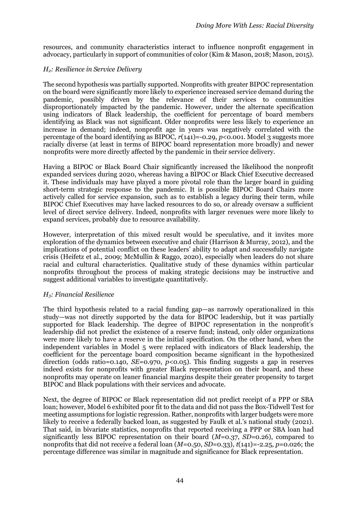resources, and community characteristics interact to influence nonprofit engagement in advocacy, particularly in support of communities of color (Kim & Mason, 2018; Mason, 2015).

### *H2: Resilience in Service Delivery*

The second hypothesis was partially supported. Nonprofits with greater BIPOC representation on the board were significantly more likely to experience increased service demand during the pandemic, possibly driven by the relevance of their services to communities disproportionately impacted by the pandemic. However, under the alternate specification using indicators of Black leadership, the coefficient for percentage of board members identifying as Black was not significant. Older nonprofits were less likely to experience an increase in demand; indeed, nonprofit age in years was negatively correlated with the percentage of the board identifying as BIPOC,  $r(141) = -0.29$ ,  $p < 0.001$ . Model 3 suggests more racially diverse (at least in terms of BIPOC board representation more broadly) and newer nonprofits were more directly affected by the pandemic in their service delivery.

Having a BIPOC or Black Board Chair significantly increased the likelihood the nonprofit expanded services during 2020, whereas having a BIPOC or Black Chief Executive decreased it. These individuals may have played a more pivotal role than the larger board in guiding short-term strategic response to the pandemic. It is possible BIPOC Board Chairs more actively called for service expansion, such as to establish a legacy during their term, while BIPOC Chief Executives may have lacked resources to do so, or already oversaw a sufficient level of direct service delivery. Indeed, nonprofits with larger revenues were more likely to expand services, probably due to resource availability.

However, interpretation of this mixed result would be speculative, and it invites more exploration of the dynamics between executive and chair (Harrison & Murray, 2012), and the implications of potential conflict on these leaders' ability to adapt and successfully navigate crisis (Heifetz et al., 2009; McMullin & Raggo, 2020), especially when leaders do not share racial and cultural characteristics. Qualitative study of these dynamics within particular nonprofits throughout the process of making strategic decisions may be instructive and suggest additional variables to investigate quantitatively.

#### *H3: Financial Resilience*

The third hypothesis related to a racial funding gap—as narrowly operationalized in this study—was not directly supported by the data for BIPOC leadership, but it was partially supported for Black leadership. The degree of BIPOC representation in the nonprofit's leadership did not predict the existence of a reserve fund; instead, only older organizations were more likely to have a reserve in the initial specification. On the other hand, when the independent variables in Model 5 were replaced with indicators of Black leadership, the coefficient for the percentage board composition became significant in the hypothesized direction (odds ratio=0.140, *SE*=0.970, *p*<0.05). This finding suggests a gap in reserves indeed exists for nonprofits with greater Black representation on their board, and these nonprofits may operate on leaner financial margins despite their greater propensity to target BIPOC and Black populations with their services and advocate.

Next, the degree of BIPOC or Black representation did not predict receipt of a PPP or SBA loan; however, Model 6 exhibited poor fit to the data and did not pass the Box-Tidwell Test for meeting assumptions for logistic regression. Rather, nonprofits with larger budgets were more likely to receive a federally backed loan, as suggested by Faulk et al.'s national study (2021). That said, in bivariate statistics, nonprofits that reported receiving a PPP or SBA loan had significantly less BIPOC representation on their board (*M*=0.37, *SD*=0.26), compared to nonprofits that did not receive a federal loan (*M*=0.50, *SD*=0.33), *t*(141)=-2.25, *p*=0.026; the percentage difference was similar in magnitude and significance for Black representation.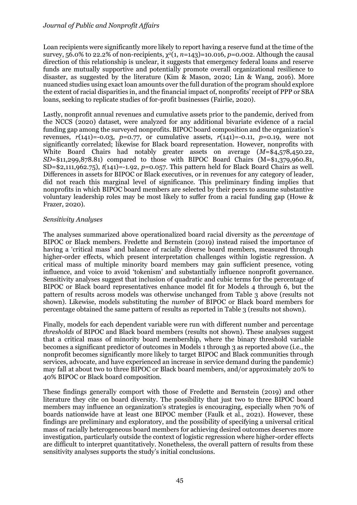Loan recipients were significantly more likely to report having a reserve fund at the time of the survey,  $56.0\%$  to 22.2% of non-recipients,  $\chi^2(1, n=143)=10.016$ ,  $p=0.002$ . Although the causal direction of this relationship is unclear, it suggests that emergency federal loans and reserve funds are mutually supportive and potentially promote overall organizational resilience to disaster, as suggested by the literature (Kim & Mason, 2020; Lin & Wang, 2016). More nuanced studies using exact loan amounts over the full duration of the program should explore the extent of racial disparities in, and the financial impact of, nonprofits' receipt of PPP or SBA loans, seeking to replicate studies of for-profit businesses (Fairlie, 2020).

Lastly, nonprofit annual revenues and cumulative assets prior to the pandemic, derived from the NCCS (2020) dataset, were analyzed for any additional bivariate evidence of a racial funding gap among the surveyed nonprofits. BIPOC board composition and the organization's revenues,  $r(141) = -0.03$ ,  $p=0.77$ , or cumulative assets,  $r(141) = -0.11$ ,  $p=0.19$ , were not significantly correlated; likewise for Black board representation. However, nonprofits with White Board Chairs had notably greater assets on average (*M*=\$4,578,450.22, *SD*=\$11,299,878.81) compared to those with BIPOC Board Chairs (M=\$1,379,960.81, SD=\$2,111,962.75), *t*(141)=-1.92, *p*=0.057. This pattern held for Black Board Chairs as well. Differences in assets for BIPOC or Black executives, or in revenues for any category of leader, did not reach this marginal level of significance. This preliminary finding implies that nonprofits in which BIPOC board members are selected by their peers to assume substantive voluntary leadership roles may be most likely to suffer from a racial funding gap (Howe & Frazer, 2020).

## *Sensitivity Analyses*

The analyses summarized above operationalized board racial diversity as the *percentage* of BIPOC or Black members. Fredette and Bernstein (2019) instead raised the importance of having a 'critical mass' and balance of racially diverse board members, measured through higher-order effects, which present interpretation challenges within logistic regression. A critical mass of multiple minority board members may gain sufficient presence, voting influence, and voice to avoid 'tokenism' and substantially influence nonprofit governance. Sensitivity analyses suggest that inclusion of quadratic and cubic terms for the percentage of BIPOC or Black board representatives enhance model fit for Models 4 through 6, but the pattern of results across models was otherwise unchanged from Table 3 above (results not shown). Likewise, models substituting the *number* of BIPOC or Black board members for percentage obtained the same pattern of results as reported in Table 3 (results not shown).

Finally, models for each dependent variable were run with different number and percentage *thresholds* of BIPOC and Black board members (results not shown). These analyses suggest that a critical mass of minority board membership, where the binary threshold variable becomes a significant predictor of outcomes in Models 1 through 3 as reported above (i.e., the nonprofit becomes significantly more likely to target BIPOC and Black communities through services, advocate, and have experienced an increase in service demand during the pandemic) may fall at about two to three BIPOC or Black board members, and/or approximately 20% to 40% BIPOC or Black board composition.

These findings generally comport with those of Fredette and Bernstein (2019) and other literature they cite on board diversity. The possibility that just two to three BIPOC board members may influence an organization's strategies is encouraging, especially when 70% of boards nationwide have at least one BIPOC member (Faulk et al., 2021). However, these findings are preliminary and exploratory, and the possibility of specifying a universal critical mass of racially heterogeneous board members for achieving desired outcomes deserves more investigation, particularly outside the context of logistic regression where higher-order effects are difficult to interpret quantitatively. Nonetheless, the overall pattern of results from these sensitivity analyses supports the study's initial conclusions.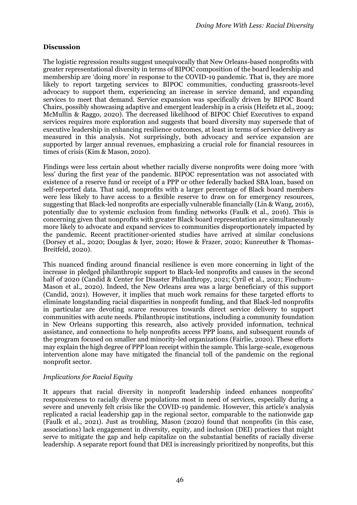## **Discussion**

The logistic regression results suggest unequivocally that New Orleans-based nonprofits with greater representational diversity in terms of BIPOC composition of the board leadership and membership are 'doing more' in response to the COVID-19 pandemic. That is, they are more likely to report targeting services to BIPOC communities, conducting grassroots-level advocacy to support them, experiencing an increase in service demand, and expanding services to meet that demand. Service expansion was specifically driven by BIPOC Board Chairs, possibly showcasing adaptive and emergent leadership in a crisis (Heifetz et al., 2009; McMullin & Raggo, 2020). The decreased likelihood of BIPOC Chief Executives to expand services requires more exploration and suggests that board diversity may supersede that of executive leadership in enhancing resilience outcomes, at least in terms of service delivery as measured in this analysis. Not surprisingly, both advocacy and service expansion are supported by larger annual revenues, emphasizing a crucial role for financial resources in times of crisis (Kim & Mason, 2020).

Findings were less certain about whether racially diverse nonprofits were doing more 'with less' during the first year of the pandemic. BIPOC representation was not associated with existence of a reserve fund or receipt of a PPP or other federally backed SBA loan, based on self-reported data. That said, nonprofits with a larger percentage of Black board members were less likely to have access to a flexible reserve to draw on for emergency resources, suggesting that Black-led nonprofits are especially vulnerable financially (Lin & Wang, 2016), potentially due to systemic exclusion from funding networks (Faulk et al., 2016). This is concerning given that nonprofits with greater Black board representation are simultaneously more likely to advocate and expand services to communities disproportionately impacted by the pandemic. Recent practitioner-oriented studies have arrived at similar conclusions (Dorsey et al., 2020; Douglas & Iyer, 2020; Howe & Frazer, 2020; Kunreuther & Thomas-Breitfeld, 2020).

This nuanced finding around financial resilience is even more concerning in light of the increase in pledged philanthropic support to Black-led nonprofits and causes in the second half of 2020 (Candid & Center for Disaster Philanthropy, 2021; Cyril et al., 2021; Finchum-Mason et al., 2020). Indeed, the New Orleans area was a large beneficiary of this support (Candid, 2021). However, it implies that much work remains for these targeted efforts to eliminate longstanding racial disparities in nonprofit funding, and that Black-led nonprofits in particular are devoting scarce resources towards direct service delivery to support communities with acute needs. Philanthropic institutions, including a community foundation in New Orleans supporting this research, also actively provided information, technical assistance, and connections to help nonprofits access PPP loans, and subsequent rounds of the program focused on smaller and minority-led organizations (Fairlie, 2020). These efforts may explain the high degree of PPP loan receipt within the sample. This large-scale, exogenous intervention alone may have mitigated the financial toll of the pandemic on the regional nonprofit sector.

## *Implications for Racial Equity*

It appears that racial diversity in nonprofit leadership indeed enhances nonprofits' responsiveness to racially diverse populations most in need of services, especially during a severe and unevenly felt crisis like the COVID-19 pandemic. However, this article's analysis replicated a racial leadership gap in the regional sector, comparable to the nationwide gap (Faulk et al., 2021). Just as troubling, Mason (2020) found that nonprofits (in this case, associations) lack engagement in diversity, equity, and inclusion (DEI) practices that might serve to mitigate the gap and help capitalize on the substantial benefits of racially diverse leadership. A separate report found that DEI is increasingly prioritized by nonprofits, but this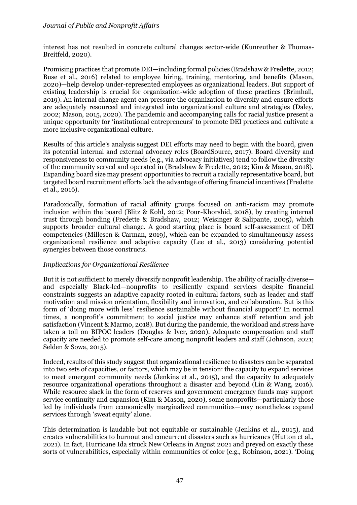interest has not resulted in concrete cultural changes sector-wide (Kunreuther & Thomas-Breitfeld, 2020).

Promising practices that promote DEI—including formal policies (Bradshaw & Fredette, 2012; Buse et al., 2016) related to employee hiring, training, mentoring, and benefits (Mason, 2020)—help develop under-represented employees as organizational leaders. But support of existing leadership is crucial for organization-wide adoption of these practices (Brimhall, 2019). An internal change agent can pressure the organization to diversify and ensure efforts are adequately resourced and integrated into organizational culture and strategies (Daley, 2002; Mason, 2015, 2020). The pandemic and accompanying calls for racial justice present a unique opportunity for 'institutional entrepreneurs' to promote DEI practices and cultivate a more inclusive organizational culture.

Results of this article's analysis suggest DEI efforts may need to begin with the board, given its potential internal and external advocacy roles (BoardSource, 2017). Board diversity and responsiveness to community needs (e.g., via advocacy initiatives) tend to follow the diversity of the community served and operated in (Bradshaw & Fredette, 2012; Kim & Mason, 2018). Expanding board size may present opportunities to recruit a racially representative board, but targeted board recruitment efforts lack the advantage of offering financial incentives (Fredette et al., 2016).

Paradoxically, formation of racial affinity groups focused on anti-racism may promote inclusion within the board (Blitz & Kohl, 2012; Pour-Khorshid, 2018), by creating internal trust through bonding (Fredette & Bradshaw, 2012; Weisinger & Salipante, 2005), which supports broader cultural change. A good starting place is board self-assessment of DEI competencies (Millesen & Carman, 2019), which can be expanded to simultaneously assess organizational resilience and adaptive capacity (Lee et al., 2013) considering potential synergies between those constructs.

## *Implications for Organizational Resilience*

But it is not sufficient to merely diversify nonprofit leadership. The ability of racially diverse and especially Black-led—nonprofits to resiliently expand services despite financial constraints suggests an adaptive capacity rooted in cultural factors, such as leader and staff motivation and mission orientation, flexibility and innovation, and collaboration. But is this form of 'doing more with less' resilience sustainable without financial support? In normal times, a nonprofit's commitment to social justice may enhance staff retention and job satisfaction (Vincent & Marmo, 2018). But during the pandemic, the workload and stress have taken a toll on BIPOC leaders (Douglas & Iyer, 2020). Adequate compensation and staff capacity are needed to promote self-care among nonprofit leaders and staff (Johnson, 2021; Selden & Sowa, 2015).

Indeed, results of this study suggest that organizational resilience to disasters can be separated into two sets of capacities, or factors, which may be in tension: the capacity to expand services to meet emergent community needs (Jenkins et al., 2015), and the capacity to adequately resource organizational operations throughout a disaster and beyond (Lin & Wang, 2016). While resource slack in the form of reserves and government emergency funds may support service continuity and expansion (Kim & Mason, 2020), some nonprofits—particularly those led by individuals from economically marginalized communities—may nonetheless expand services through 'sweat equity' alone.

This determination is laudable but not equitable or sustainable (Jenkins et al., 2015), and creates vulnerabilities to burnout and concurrent disasters such as hurricanes (Hutton et al., 2021). In fact, Hurricane Ida struck New Orleans in August 2021 and preyed on exactly these sorts of vulnerabilities, especially within communities of color (e.g., Robinson, 2021). 'Doing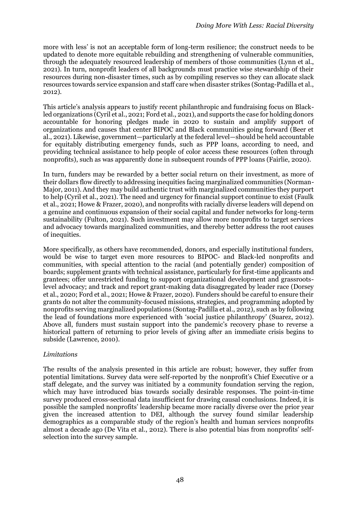more with less' is not an acceptable form of long-term resilience; the construct needs to be updated to denote more equitable rebuilding and strengthening of vulnerable communities, through the adequately resourced leadership of members of those communities (Lynn et al., 2021). In turn, nonprofit leaders of all backgrounds must practice wise stewardship of their resources during non-disaster times, such as by compiling reserves so they can allocate slack resources towards service expansion and staff care when disaster strikes (Sontag-Padilla et al., 2012).

This article's analysis appears to justify recent philanthropic and fundraising focus on Blackled organizations (Cyril et al., 2021; Ford et al., 2021), and supports the case for holding donors accountable for honoring pledges made in 2020 to sustain and amplify support of organizations and causes that center BIPOC and Black communities going forward (Beer et al., 2021). Likewise, government—particularly at the federal level—should be held accountable for equitably distributing emergency funds, such as PPP loans, according to need, and providing technical assistance to help people of color access these resources (often through nonprofits), such as was apparently done in subsequent rounds of PPP loans (Fairlie, 2020).

In turn, funders may be rewarded by a better social return on their investment, as more of their dollars flow directly to addressing inequities facing marginalized communities (Norman-Major, 2011). And they may build authentic trust with marginalized communities they purport to help (Cyril et al., 2021). The need and urgency for financial support continue to exist (Faulk et al., 2021; Howe & Frazer, 2020), and nonprofits with racially diverse leaders will depend on a genuine and continuous expansion of their social capital and funder networks for long-term sustainability (Fulton, 2021). Such investment may allow more nonprofits to target services and advocacy towards marginalized communities, and thereby better address the root causes of inequities.

More specifically, as others have recommended, donors, and especially institutional funders, would be wise to target even more resources to BIPOC- and Black-led nonprofits and communities, with special attention to the racial (and potentially gender) composition of boards; supplement grants with technical assistance, particularly for first-time applicants and grantees; offer unrestricted funding to support organizational development and grassrootslevel advocacy; and track and report grant-making data disaggregated by leader race (Dorsey et al., 2020; Ford et al., 2021; Howe & Frazer, 2020). Funders should be careful to ensure their grants do not alter the community-focused missions, strategies, and programming adopted by nonprofits serving marginalized populations (Sontag-Padilla et al., 2012), such as by following the lead of foundations more experienced with 'social justice philanthropy' (Suarez, 2012). Above all, funders must sustain support into the pandemic's recovery phase to reverse a historical pattern of returning to prior levels of giving after an immediate crisis begins to subside (Lawrence, 2010).

## *Limitations*

The results of the analysis presented in this article are robust; however, they suffer from potential limitations. Survey data were self-reported by the nonprofit's Chief Executive or a staff delegate, and the survey was initiated by a community foundation serving the region, which may have introduced bias towards socially desirable responses. The point-in-time survey produced cross-sectional data insufficient for drawing causal conclusions. Indeed, it is possible the sampled nonprofits' leadership became more racially diverse over the prior year given the increased attention to DEI, although the survey found similar leadership demographics as a comparable study of the region's health and human services nonprofits almost a decade ago (De Vita et al., 2012). There is also potential bias from nonprofits' selfselection into the survey sample.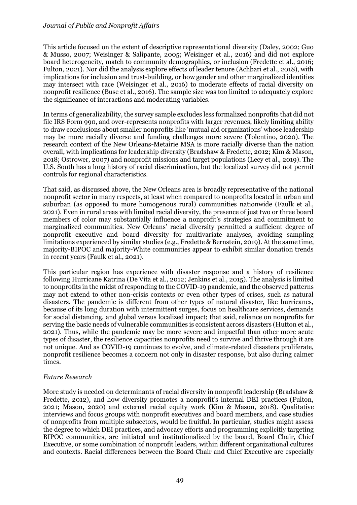This article focused on the extent of descriptive representational diversity (Daley, 2002; Guo & Musso, 2007; Weisinger & Salipante, 2005; Weisinger et al., 2016) and did not explore board heterogeneity, match to community demographics, or inclusion (Fredette et al., 2016; Fulton, 2021). Nor did the analysis explore effects of leader tenure (Achbari et al., 2018), with implications for inclusion and trust-building, or how gender and other marginalized identities may intersect with race (Weisinger et al., 2016) to moderate effects of racial diversity on nonprofit resilience (Buse et al., 2016). The sample size was too limited to adequately explore the significance of interactions and moderating variables.

In terms of generalizability, the survey sample excludes less formalized nonprofits that did not file IRS Form 990, and over-represents nonprofits with larger revenues, likely limiting ability to draw conclusions about smaller nonprofits like 'mutual aid organizations' whose leadership may be more racially diverse and funding challenges more severe (Tolentino, 2020). The research context of the New Orleans-Metairie MSA is more racially diverse than the nation overall, with implications for leadership diversity (Bradshaw & Fredette, 2012; Kim & Mason, 2018; Ostrower, 2007) and nonprofit missions and target populations (Lecy et al., 2019). The U.S. South has a long history of racial discrimination, but the localized survey did not permit controls for regional characteristics.

That said, as discussed above, the New Orleans area is broadly representative of the national nonprofit sector in many respects, at least when compared to nonprofits located in urban and suburban (as opposed to more homogenous rural) communities nationwide (Faulk et al., 2021). Even in rural areas with limited racial diversity, the presence of just two or three board members of color may substantially influence a nonprofit's strategies and commitment to marginalized communities. New Orleans' racial diversity permitted a sufficient degree of nonprofit executive and board diversity for multivariate analyses, avoiding sampling limitations experienced by similar studies (e.g., Fredette & Bernstein, 2019). At the same time, majority-BIPOC and majority-White communities appear to exhibit similar donation trends in recent years (Faulk et al., 2021).

This particular region has experience with disaster response and a history of resilience following Hurricane Katrina (De Vita et al., 2012; Jenkins et al., 2015). The analysis is limited to nonprofits in the midst of responding to the COVID-19 pandemic, and the observed patterns may not extend to other non-crisis contexts or even other types of crises, such as natural disasters. The pandemic is different from other types of natural disaster, like hurricanes, because of its long duration with intermittent surges, focus on healthcare services, demands for social distancing, and global versus localized impact; that said, reliance on nonprofits for serving the basic needs of vulnerable communities is consistent across disasters (Hutton et al., 2021). Thus, while the pandemic may be more severe and impactful than other more acute types of disaster, the resilience capacities nonprofits need to survive and thrive through it are not unique. And as COVID-19 continues to evolve, and climate-related disasters proliferate, nonprofit resilience becomes a concern not only in disaster response, but also during calmer times.

#### *Future Research*

More study is needed on determinants of racial diversity in nonprofit leadership (Bradshaw & Fredette, 2012), and how diversity promotes a nonprofit's internal DEI practices (Fulton, 2021; Mason, 2020) and external racial equity work (Kim & Mason, 2018). Qualitative interviews and focus groups with nonprofit executives and board members, and case studies of nonprofits from multiple subsectors, would be fruitful. In particular, studies might assess the degree to which DEI practices, and advocacy efforts and programming explicitly targeting BIPOC communities, are initiated and institutionalized by the board, Board Chair, Chief Executive, or some combination of nonprofit leaders, within different organizational cultures and contexts. Racial differences between the Board Chair and Chief Executive are especially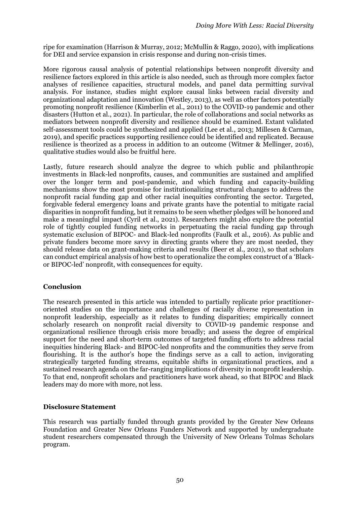ripe for examination (Harrison & Murray, 2012; McMullin & Raggo, 2020), with implications for DEI and service expansion in crisis response and during non-crisis times.

More rigorous causal analysis of potential relationships between nonprofit diversity and resilience factors explored in this article is also needed, such as through more complex factor analyses of resilience capacities, structural models, and panel data permitting survival analysis. For instance, studies might explore causal links between racial diversity and organizational adaptation and innovation (Westley, 2013), as well as other factors potentially promoting nonprofit resilience (Kimberlin et al., 2011) to the COVID-19 pandemic and other disasters (Hutton et al., 2021). In particular, the role of collaborations and social networks as mediators between nonprofit diversity and resilience should be examined. Extant validated self-assessment tools could be synthesized and applied (Lee et al., 2013; Millesen & Carman, 2019), and specific practices supporting resilience could be identified and replicated. Because resilience is theorized as a process in addition to an outcome (Witmer & Mellinger, 2016), qualitative studies would also be fruitful here.

Lastly, future research should analyze the degree to which public and philanthropic investments in Black-led nonprofits, causes, and communities are sustained and amplified over the longer term and post-pandemic, and which funding and capacity-building mechanisms show the most promise for institutionalizing structural changes to address the nonprofit racial funding gap and other racial inequities confronting the sector. Targeted, forgivable federal emergency loans and private grants have the potential to mitigate racial disparities in nonprofit funding, but it remains to be seen whether pledges will be honored and make a meaningful impact (Cyril et al., 2021). Researchers might also explore the potential role of tightly coupled funding networks in perpetuating the racial funding gap through systematic exclusion of BIPOC- and Black-led nonprofits (Faulk et al., 2016). As public and private funders become more savvy in directing grants where they are most needed, they should release data on grant-making criteria and results (Beer et al., 2021), so that scholars can conduct empirical analysis of how best to operationalize the complex construct of a 'Blackor BIPOC-led' nonprofit, with consequences for equity.

## **Conclusion**

The research presented in this article was intended to partially replicate prior practitioneroriented studies on the importance and challenges of racially diverse representation in nonprofit leadership, especially as it relates to funding disparities; empirically connect scholarly research on nonprofit racial diversity to COVID-19 pandemic response and organizational resilience through crisis more broadly; and assess the degree of empirical support for the need and short-term outcomes of targeted funding efforts to address racial inequities hindering Black- and BIPOC-led nonprofits and the communities they serve from flourishing. It is the author's hope the findings serve as a call to action, invigorating strategically targeted funding streams, equitable shifts in organizational practices, and a sustained research agenda on the far-ranging implications of diversity in nonprofit leadership. To that end, nonprofit scholars and practitioners have work ahead, so that BIPOC and Black leaders may do more with more, not less.

#### **Disclosure Statement**

This research was partially funded through grants provided by the Greater New Orleans Foundation and Greater New Orleans Funders Network and supported by undergraduate student researchers compensated through the University of New Orleans Tolmas Scholars program.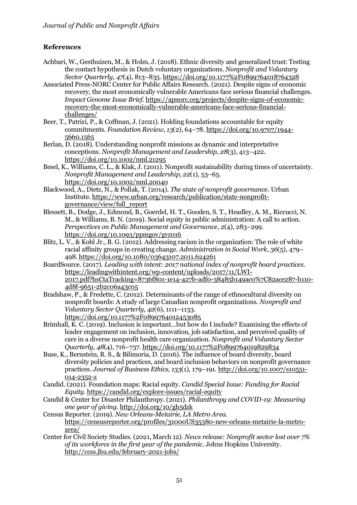# **References**

- Achbari, W., Gesthuizen, M., & Holm, J. (2018). Ethnic diversity and generalized trust: Testing the contact hypothesis in Dutch voluntary organizations. *Nonprofit and Voluntary Sector Quarterly*, *47*(4), 813–835. https://doi.org/10.1177%2F0899764018764328
- Associated Press-NORC Center for Public Affairs Research. (2021). Despite signs of economic recovery, the most economically vulnerable Americans face serious financial challenges. *Impact Genome Issue Brief*. https://apnorc.org/projects/despite-signs-of-economicrecovery-the-most-economically-vulnerable-americans-face-serious-financialchallenges/
- Beer, T., Patrizi, P., & Coffman, J. (2021). Holding foundations accountable for equity commitments. *Foundation Review*, *13*(2), 64–78. https://doi.org/10.9707/1944- 5660.1565
- Berlan, D. (2018). Understanding nonprofit missions as dynamic and interpretative conceptions. *Nonprofit Management and Leadership*, *28*(3), 413–422. https://doi.org/10.1002/nml.21295
- Besel, K., Williams, C. L., & Klak, J. (2011). Nonprofit sustainability during times of uncertainty. *Nonprofit Management and Leadership*, *22*(1), 53–65. https://doi.org/10.1002/nml.20040
- Blackwood, A., Dietz, N., & Pollak, T. (2014). *The state of nonprofit governance*. Urban Institute. https://www.urban.org/research/publication/state-nonprofitgovernance/view/full\_report
- Blessett, B., Dodge, J., Edmond, B., Goerdel, H. T., Gooden, S. T., Headley, A. M., Riccucci, N. M., & Williams, B. N. (2019). Social equity in public administration: A call to action. *Perspectives on Public Management and Governance*, *2*(4), 283–299. https://doi.org/10.1093/ppmgov/gvz016
- Blitz, L. V., & Kohl Jr., B. G. (2012). Addressing racism in the organization: The role of white racial affinity groups in creating change. *Administration in Social Work*, *36*(5), 479– 498. https://doi.org/10.1080/03643107.2011.624261
- BoardSource. (2017). *Leading with intent: 2017 national index of nonprofit board practices*. https://leadingwithintent.org/wp-content/uploads/2017/11/LWI-2017.pdf?hsCtaTracking=8736f801-1e14-427b-adf0-38485b149ac0%7C82ace287-b110- 4d8f-9651-2b2c06a43c05
- Bradshaw, P., & Fredette, C. (2012). Determinants of the range of ethnocultural diversity on nonprofit boards: A study of large Canadian nonprofit organizations. *Nonprofit and Voluntary Sector Quarterly*, *42*(6), 1111–1133. https://doi.org/10.1177%2F0899764012453085
- Brimhall, K. C. (2019). Inclusion is important…but how do I include? Examining the effects of leader engagement on inclusion, innovation, job satisfaction, and perceived quality of care in a diverse nonprofit health care organization. *Nonprofit and Voluntary Sector Quarterly*, *48*(4), 716–737. https://doi.org/10.1177%2F0899764019829834
- Buse, K., Bernstein, R. S., & Bilimoria, D. (2016). The influence of board diversity, board diversity policies and practices, and board inclusion behaviors on nonprofit governance practices. *Journal of Business Ethics, 133*(1), 179–191. http://doi.org/10.1007/s10551- 014-2352-z
- Candid. (2021). Foundation maps: Racial equity. *Candid Special Issue: Funding for Racial Equity*. https://candid.org/explore-issues/racial-equity
- Candid & Center for Disaster Philanthropy. (2021). *Philanthropy and COVID-19: Measuring one year of giving*. http://doi.org/10/gh5dzk
- Census Reporter. (2019). *New Orleans-Metairie, LA Metro Area*. https://censusreporter.org/profiles/31000US35380-new-orleans-metairie-la-metroarea/
- Center for Civil Society Studies. (2021, March 12). *News release: Nonprofit sector lost over 7% of its workforce in the first year of the pandemic*. Johns Hopkins University. http://ccss.jhu.edu/february-2021-jobs/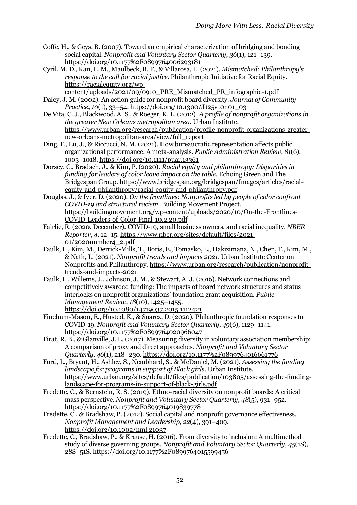- Coffe, H., & Geys, B. (2007). Toward an empirical characterization of bridging and bonding social capital. *Nonprofit and Voluntary Sector Quarterly*, *36*(1), 121–139. https://doi.org/10.1177%2F0899764006293181
- Cyril, M. D., Kan, L. M., Maulbeck, B. F., & Villarosa, L. (2021). *Mismatched: Philanthropy's response to the call for racial justice*. Philanthropic Initiative for Racial Equity. https://racialequity.org/wp
	- content/uploads/2021/09/0910\_PRE\_Mismatched\_PR\_infographic-1.pdf
- Daley, J. M. (2002). An action guide for nonprofit board diversity. *Journal of Community Practice*, *10*(1), 33–54. https://doi.org/10.1300/J125v10n01\_03
- De Vita, C. J., Blackwood, A. S., & Roeger, K. L. (2012). *A profile of nonprofit organizations in the greater New Orleans metropolitan area*. Urban Institute. https://www.urban.org/research/publication/profile-nonprofit-organizations-greaternew-orleans-metropolitan-area/view/full\_report
- Ding, F., Lu, J., & Riccucci, N. M. (2021). How bureaucratic representation affects public organizational performance: A meta-analysis. *Public Administration Review, 81*(6), 1003–1018. https://doi.org/10.1111/puar.13361
- Dorsey, C., Bradach, J., & Kim, P. (2020). *Racial equity and philanthropy: Disparities in funding for leaders of color leave impact on the table*. Echoing Green and The Bridgespan Group. https://www.bridgespan.org/bridgespan/Images/articles/racialequity-and-philanthropy/racial-equity-and-philanthropy.pdf
- Douglas, J., & Iyer, D. (2020). *On the frontlines: Nonprofits led by people of color confront COVID-19 and structural racism*. Building Movement Project. https://buildingmovement.org/wp-content/uploads/2020/10/On-the-Frontlines-COVID-Leaders-of-Color-Final-10.2.20.pdf
- Fairlie, R. (2020, December). COVID-19, small business owners, and racial inequality. *NBER Reporter*, *4*, 12–15. https://www.nber.org/sites/default/files/2021- 01/2020number4\_2.pdf
- Faulk, L., Kim, M., Derrick-Mills, T., Boris, E., Tomasko, L., Hakizimana, N., Chen, T., Kim, M., & Nath, L. (2021). *Nonprofit trends and impacts 2021*. Urban Institute Center on Nonprofits and Philanthropy. https://www.urban.org/research/publication/nonprofittrends-and-impacts-2021
- Faulk, L., Willems, J., Johnson, J. M., & Stewart, A. J. (2016). Network connections and competitively awarded funding: The impacts of board network structures and status interlocks on nonprofit organizations' foundation grant acquisition. *Public Management Review*, *18*(10), 1425–1455. https://doi.org/10.1080/14719037.2015.1112421
- Finchum-Mason, E., Husted, K., & Suarez, D. (2020). Philanthropic foundation responses to COVID-19. *Nonprofit and Voluntary Sector Quarterly*, *49*(6), 1129–1141. https://doi.org/10.1177%2F0899764020966047
- Firat, R. B., & Glanville, J. L. (2017). Measuring diversity in voluntary association membership: A comparison of proxy and direct approaches. *Nonprofit and Voluntary Sector Quarterly*, *46*(1), 218–230. https://doi.org/10.1177%2F0899764016661776
- Ford, L., Bryant, H., Ashley, S., Nembhard, S., & McDaniel, M. (2021). *Assessing the funding landscape for programs in support of Black girls*. Urban Institute. https://www.urban.org/sites/default/files/publication/103805/assessing-the-fundinglandscape-for-programs-in-support-of-black-girls.pdf
- Fredette, C., & Bernstein, R. S. (2019). Ethno-racial diversity on nonprofit boards: A critical mass perspective. *Nonprofit and Voluntary Sector Quarterly*, *48*(5), 931–952. https://doi.org/10.1177%2F0899764019839778
- Fredette, C., & Bradshaw, P. (2012). Social capital and nonprofit governance effectiveness. *Nonprofit Management and Leadership*, *22*(4), 391–409. https://doi.org/10.1002/nml.21037
- Fredette, C., Bradshaw, P., & Krause, H. (2016). From diversity to inclusion: A multimethod study of diverse governing groups. *Nonprofit and Voluntary Sector Quarterly*, *45*(1S), 28S–51S. https://doi.org/10.1177%2F0899764015599456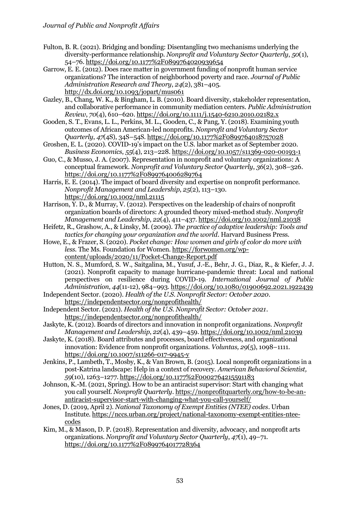- Fulton, B. R. (2021). Bridging and bonding: Disentangling two mechanisms underlying the diversity-performance relationship. *Nonprofit and Voluntary Sector Quarterly*, *50*(1), 54–76. https://doi.org/10.1177%2F0899764020939654
- Garrow, E. E. (2012). Does race matter in government funding of nonprofit human service organizations? The interaction of neighborhood poverty and race. *Journal of Public Administration Research and Theory*, *24*(2), 381–405. http://dx.doi.org/10.1093/jopart/mus061
- Gazley, B., Chang, W. K., & Bingham, L. B. (2010). Board diversity, stakeholder representation, and collaborative performance in community mediation centers. *Public Administration Review*, *70*(4), 610–620. https://doi.org/10.1111/j.1540-6210.2010.02182.x
- Gooden, S. T., Evans, L. L., Perkins, M. L., Gooden, C., & Pang, Y. (2018). Examining youth outcomes of African American-led nonprofits. *Nonprofit and Voluntary Sector Quarterly*, *47*(4S), 34S–54S. https://doi.org/10.1177%2F0899764018757028
- Groshen, E. L. (2020). COVID-19's impact on the U.S. labor market as of September 2020. *Business Economics*, *55*(4), 213–228. https://doi.org/10.1057/s11369-020-00193-1
- Guo, C., & Musso, J. A. (2007). Representation in nonprofit and voluntary organizations: A conceptual framework. *Nonprofit and Voluntary Sector Quarterly*, *36*(2), 308–326. https://doi.org/10.1177%2F0899764006289764
- Harris, E. E. (2014). The impact of board diversity and expertise on nonprofit performance. *Nonprofit Management and Leadership*, *25*(2), 113–130. https://doi.org/10.1002/nml.21115
- Harrison, Y. D., & Murray, V. (2012). Perspectives on the leadership of chairs of nonprofit organization boards of directors: A grounded theory mixed-method study. *Nonprofit Management and Leadership*, *22*(4), 411–437. https://doi.org/10.1002/nml.21038
- Heifetz, R., Grashow, A., & Linsky, M. (2009). *The practice of adaptive leadership: Tools and tactics for changing your organization and the world*. Harvard Business Press.
- Howe, E., & Frazer, S. (2020). *Pocket change: How women and girls of color do more with less.* The Ms. Foundation for Women. https://forwomen.org/wpcontent/uploads/2020/11/Pocket-Change-Report.pdf
- Hutton, N. S., Mumford, S. W., Saitgalina, M., Yusuf, J.-E., Behr, J. G., Diaz, R., & Kiefer, J. J. (2021). Nonprofit capacity to manage hurricane-pandemic threat: Local and national perspectives on resilience during COVID-19. *International Journal of Public Administration*, *44*(11-12), 984–993. https://doi.org/10.1080/01900692.2021.1922439
- Independent Sector. (2020). *Health of the U.S. Nonprofit Sector: October 2020*. https://independentsector.org/nonprofithealth/
- Independent Sector. (2021). *Health of the U.S. Nonprofit Sector: October 2021*. https://independentsector.org/nonprofithealth/
- Jaskyte, K. (2012). Boards of directors and innovation in nonprofit organizations. *Nonprofit Management and Leadership*, *22*(4), 439–459. https://doi.org/10.1002/nml.21039
- Jaskyte, K. (2018). Board attributes and processes, board effectiveness, and organizational innovation: Evidence from nonprofit organizations. *Voluntas, 29*(5), 1098–1111. https://doi.org/10.1007/s11266-017-9945-y
- Jenkins, P., Lambeth, T., Mosby, K., & Van Brown, B. (2015). Local nonprofit organizations in a post-Katrina landscape: Help in a context of recovery. *American Behavioral Scientist, 59*(10), 1263–1277. https://doi.org/10.1177%2F0002764215591183
- Johnson, K.-M. (2021, Spring). How to be an antiracist supervisor: Start with changing what you call yourself. *Nonprofit Quarterly*. https://nonprofitquarterly.org/how-to-be-anantiracist-supervisor-start-with-changing-what-you-call-yourself/
- Jones, D. (2019, April 2). *National Taxonomy of Exempt Entities (NTEE) codes*. Urban Institute. https://nccs.urban.org/project/national-taxonomy-exempt-entities-nteecodes
- Kim, M., & Mason, D. P. (2018). Representation and diversity, advocacy, and nonprofit arts organizations. *Nonprofit and Voluntary Sector Quarterly*, *47*(1), 49–71. https://doi.org/10.1177%2F0899764017728364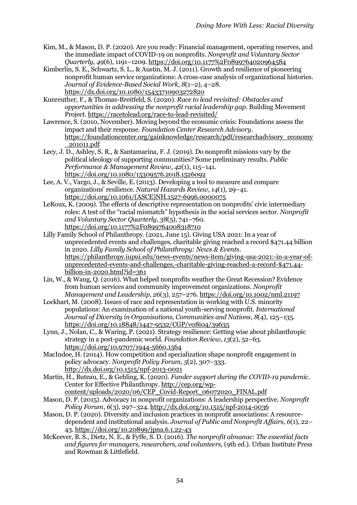- Kim, M., & Mason, D. P. (2020). Are you ready: Financial management, operating reserves, and the immediate impact of COVID-19 on nonprofits. *Nonprofit and Voluntary Sector Quarterly*, *49*(6), 1191–1209. https://doi.org/10.1177%2F0899764020964584
- Kimberlin, S. E., Schwartz, S. L., & Austin, M. J. (2011). Growth and resilience of pioneering nonprofit human service organizations: A cross-case analysis of organizational histories. *Journal of Evidence-Based Social Work*, *8*(1–2), 4–28. https://dx.doi.org/10.1080/15433710903272820
- Kunreuther, F., & Thomas-Breitfeld, S. (2020). *Race to lead revisited: Obstacles and opportunities in addressing the nonprofit racial leadership gap*. Building Movement Project. https://racetolead.org/race-to-lead-revisited/
- Lawrence, S. (2010, November). Moving beyond the economic crisis: Foundations assess the impact and their response. *Foundation Center Research Advisory*. https://foundationcenter.org/gainknowledge/research/pdf/researchadvisory\_economy \_201011.pdf
- Lecy, J. D., Ashley, S. R., & Santamarina, F. J. (2019). Do nonprofit missions vary by the political ideology of supporting communities? Some preliminary results. *Public Performance & Management Review*, *42*(1), 115–141. https://doi.org/10.1080/15309576.2018.1526092
- Lee, A. V., Vargo, J., & Seville, E. (2013). Developing a tool to measure and compare organizations' resilience. *Natural Hazards Review*, *14*(1), 29–41. https://doi.org/10.1061/(ASCE)NH.1527-6996.0000075
- LeRoux, K. (2009). The effects of descriptive representation on nonprofits' civic intermediary roles: A test of the "racial mismatch" hypothesis in the social services sector. *Nonprofit and Voluntary Sector Quarterly*, *38*(5), 741–760. https://doi.org/10.1177%2F0899764008318710
- Lilly Family School of Philanthropy. (2021, June 15). Giving USA 2021: In a year of unprecedented events and challenges, charitable giving reached a record \$471.44 billion in 2020. *Lilly Family School of Philanthropy: News & Events*. https://philanthropy.iupui.edu/news-events/news-item/giving-usa-2021:-in-a-year-ofunprecedented-events-and-challenges,-charitable-giving-reached-a-record-\$471.44 billion-in-2020.html?id= $361$
- Lin, W., & Wang, Q. (2016). What helped nonprofits weather the Great Recession? Evidence from human services and community improvement organizations. *Nonprofit Management and Leadership*, *26*(3), 257–276. https://doi.org/10.1002/nml.21197
- Lockhart, M. (2008). Issues of race and representation in working with U.S. minority populations: An examination of a national youth-serving nonprofit. *International Journal of Diversity in Organisations, Communities and Nations*, *8*(4), 125–135. https://doi.org/10.18848/1447-9532/CGP/v08i04/39635
- Lynn, J., Nolan, C., & Waring, P. (2021). Strategy resilience: Getting wise about philanthropic strategy in a post-pandemic world. *Foundation Review*, *13*(2), 52–63. https://doi.org/10.9707/1944-5660.1564
- MacIndoe, H. (2014). How competition and specialization shape nonprofit engagement in policy advocacy. *Nonprofit Policy Forum*, *5*(2), 307–333. http://dx.doi.org/10.1515/npf-2013-0021
- Martin, H., Buteau, E., & Gehling, K. (2020). *Funder support during the COVID-19 pandemic*. Center for Effective Philanthropy. http://cep.org/wpcontent/uploads/2020/06/CEP\_Covid-Report\_06072020\_FINAL.pdf
- Mason, D. P. (2015). Advocacy in nonprofit organizations: A leadership perspective. *Nonprofit Policy Forum*, *6*(3), 297–324. http://dx.doi.org/10.1515/npf-2014-0036
- Mason, D. P. (2020). Diversity and inclusion practices in nonprofit associations: A resourcedependent and institutional analysis. *Journal of Public and Nonprofit Affairs*, *6*(1), 22– 43. https://doi.org/10.20899/jpna.6.1.22-43
- McKeever, B. S., Dietz, N. E., & Fyffe, S. D. (2016). *The nonprofit almanac: The essential facts and figures for managers, researchers, and volunteers*, (9th ed.). Urban Institute Press and Rowman & Littlefield.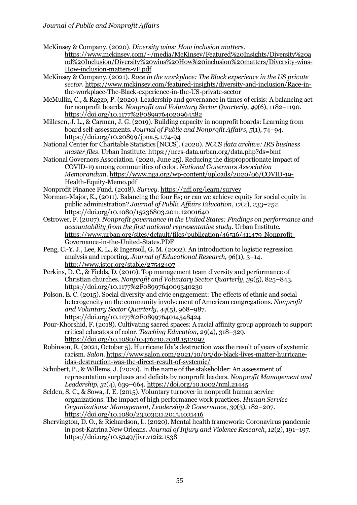McKinsey & Company. (2020). *Diversity wins: How inclusion matters*.

https://www.mckinsey.com/~/media/McKinsey/Featured%20Insights/Diversity%20a nd%20Inclusion/Diversity%20wins%20How%20inclusion%20matters/Diversity-wins-How-inclusion-matters-vF.pdf

McKinsey & Company. (2021). *Race in the workplace: The Black experience in the US private sector*. https://www.mckinsey.com/featured-insights/diversity-and-inclusion/Race-inthe-workplace-The-Black-experience-in-the-US-private-sector

McMullin, C., & Raggo, P. (2020). Leadership and governance in times of crisis: A balancing act for nonprofit boards. *Nonprofit and Voluntary Sector Quarterly*, *49*(6), 1182–1190. https://doi.org/10.1177%2F0899764020964582

Millesen, J. L., & Carman, J. G. (2019). Building capacity in nonprofit boards: Learning from board self-assessments. *Journal of Public and Nonprofit Affairs*, *5*(1), 74–94. https://doi.org/10.20899/jpna.5.1.74-94

National Center for Charitable Statistics [NCCS]. (2020). *NCCS data archive: IRS business master files*. Urban Institute. https://nccs-data.urban.org/data.php?ds=bmf

National Governors Association. (2020, June 25). Reducing the disproportionate impact of COVID-19 among communities of color. *National Governors Association Memorandum*. https://www.nga.org/wp-content/uploads/2020/06/COVID-19- Health-Equity-Memo.pdf

Nonprofit Finance Fund. (2018). *Survey*.<https://nff.org/learn/survey>

Norman-Major, K., (2011). Balancing the four Es; or can we achieve equity for social equity in public administration? *Journal of Public Affairs Education*, *17*(2), 233–252. https://doi.org/10.1080/15236803.2011.12001640

Ostrower, F. (2007). *Nonprofit governance in the United States: Findings on performance and accountability from the first national representative study*. Urban Institute. https://www.urban.org/sites/default/files/publication/46516/411479-Nonprofit-Governance-in-the-United-States.PDF

Peng, C.-Y. J., Lee, K. L., & Ingersoll, G. M. (2002). An introduction to logistic regression analysis and reporting. *Journal of Educational Research, 96*(1), 3–14. http://www.jstor.org/stable/27542407

Perkins, D. C., & Fields, D. (2010). Top management team diversity and performance of Christian churches. *Nonprofit and Voluntary Sector Quarterly*, *39*(5), 825–843. https://doi.org/10.1177%2F0899764009340230

Polson, E. C. (2015). Social diversity and civic engagement: The effects of ethnic and social heterogeneity on the community involvement of American congregations. *Nonprofit and Voluntary Sector Quarterly*, *44*(5), 968–987. https://doi.org/10.1177%2F0899764014548424

Pour-Khorshid, F. (2018). Cultivating sacred spaces: A racial affinity group approach to support critical educators of color. *Teaching Education*, *29*(4), 318–329. https://doi.org/10.1080/10476210.2018.1512092

Robinson, R. (2021, October 5). Hurricane Ida's destruction was the result of years of systemic racism. *Salon*. https://www.salon.com/2021/10/05/do-black-lives-matter-hurricaneidas-destruction-was-the-direct-result-of-systemic/

Schubert, P., & Willems, J. (2020). In the name of the stakeholder: An assessment of representation surpluses and deficits by nonprofit leaders. *Nonprofit Management and Leadership, 31*(4), 639–664*.* https://doi.org/10.1002/nml.21445

Selden, S. C., & Sowa, J. E. (2015). Voluntary turnover in nonprofit human service organizations: The impact of high performance work practices. *Human Service Organizations: Management, Leadership & Governance*, *39*(3), 182–207. https://doi.org/10.1080/23303131.2015.1031416

Shervington, D. O., & Richardson, L. (2020). Mental health framework: Coronavirus pandemic in post-Katrina New Orleans. *Journal of Injury and Violence Research*, *12*(2), 191–197. https://doi.org/10.5249/jivr.v12i2.1538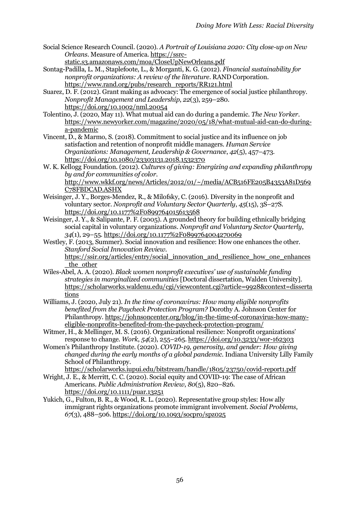- Social Science Research Council. (2020). *A Portrait of Louisiana 2020: City close-up on New Orleans*. Measure of America. https://ssrcstatic.s3.amazonaws.com/moa/CloseUpNewOrleans.pdf
- Sontag-Padilla, L. M., Staplefoote, L., & Morganti, K. G. (2012). *Financial sustainability for nonprofit organizations: A review of the literature*. RAND Corporation. https://www.rand.org/pubs/research\_reports/RR121.html
- Suarez, D. F. (2012). Grant making as advocacy: The emergence of social justice philanthropy. *Nonprofit Management and Leadership*, *22*(3), 259–280. https://doi.org/10.1002/nml.20054
- Tolentino, J. (2020, May 11). What mutual aid can do during a pandemic. *The New Yorker*. https://www.newyorker.com/magazine/2020/05/18/what-mutual-aid-can-do-duringa-pandemic
- Vincent, D., & Marmo, S. (2018). Commitment to social justice and its influence on job satisfaction and retention of nonprofit middle managers. *Human Service Organizations: Management, Leadership & Governance*, *42*(5), 457–473. https://doi.org/10.1080/23303131.2018.1532370
- W. K. Kellogg Foundation. (2012). *Cultures of giving: Energizing and expanding philanthropy by and for communities of color*. http://www.wkkf.org/news/Articles/2012/01/~/media/ACB516FE205B4353A81D569 C78FBDCAD.ASHX
- Weisinger, J. Y., Borges-Mendez, R., & Milofsky, C. (2016). Diversity in the nonprofit and voluntary sector. *Nonprofit and Voluntary Sector Quarterly*, *45*(15), 3S–27S. https://doi.org/10.1177%2F0899764015613568
- Weisinger, J. Y., & Salipante, P. F. (2005). A grounded theory for building ethnically bridging social capital in voluntary organizations. *Nonprofit and Voluntary Sector Quarterly*, *34*(1), 29–55. https://doi.org/10.1177%2F0899764004270069
- Westley, F. (2013, Summer). Social innovation and resilience: How one enhances the other. *Stanford Social Innovation Review*. https://ssir.org/articles/entry/social\_innovation\_and\_resilience\_how\_one\_enhances the other
- Wiles-Abel, A. A. (2020). *Black women nonprofit executives' use of sustainable funding strategies in marginalized communities* [Doctoral dissertation, Walden University]. https://scholarworks.waldenu.edu/cgi/viewcontent.cgi?article=9928&context=disserta tions
- Williams, J. (2020, July 21). *In the time of coronavirus: How many eligible nonprofits benefited from the Paycheck Protection Program?* Dorothy A. Johnson Center for Philanthropy. https://johnsoncenter.org/blog/in-the-time-of-coronavirus-how-manyeligible-nonprofits-benefited-from-the-paycheck-protection-program/
- Witmer, H., & Mellinger, M. S. (2016). Organizational resilience: Nonprofit organizations' response to change. *Work*, *54*(2), 255–265. https://doi.org/10.3233/wor-162303
- Women's Philanthropy Institute. (2020). *COVID-19, generosity, and gender: How giving changed during the early months of a global pandemic*. Indiana University Lilly Family School of Philanthropy.
	- https://scholarworks.iupui.edu/bitstream/handle/1805/23750/covid-report1.pdf
- Wright, J. E., & Merritt, C. C. (2020). Social equity and COVID-19: The case of African Americans. *Public Administration Review*, *80*(5), 820–826. https://doi.org/10.1111/puar.13251
- Yukich, G., Fulton, B. R., & Wood, R. L. (2020). Representative group styles: How ally immigrant rights organizations promote immigrant involvement. *Social Problems*, *67*(3), 488–506. https://doi.org/10.1093/socpro/spz025